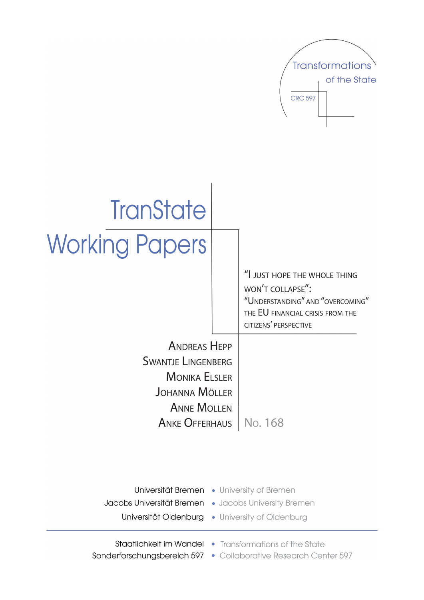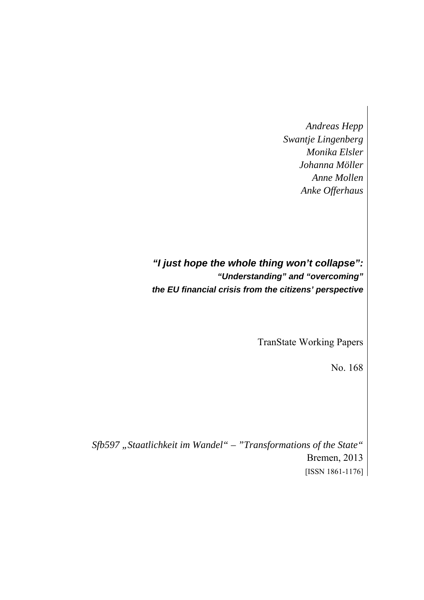*Andreas Hepp Swantje Lingenberg Monika Elsler Johanna Möller Anne Mollen Anke Offerhaus* 

*"I just hope the whole thing won't collapse": "Understanding" and "overcoming" the EU financial crisis from the citizens' perspective* 

TranState Working Papers

No. 168

Sfb597 "Staatlichkeit im Wandel" – "Transformations of the State" Bremen, 2013 [ISSN 1861-1176]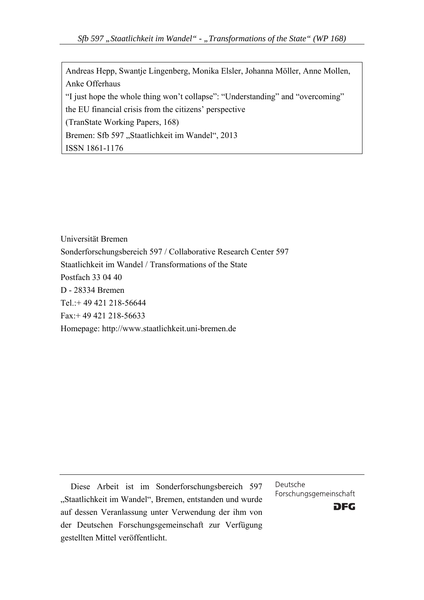Andreas Hepp, Swantje Lingenberg, Monika Elsler, Johanna Möller, Anne Mollen, Anke Offerhaus "I just hope the whole thing won't collapse": "Understanding" and "overcoming" the EU financial crisis from the citizens' perspective (TranState Working Papers, 168) Bremen: Sfb 597 "Staatlichkeit im Wandel", 2013 ISSN 1861-1176

Universität Bremen Sonderforschungsbereich 597 / Collaborative Research Center 597 Staatlichkeit im Wandel / Transformations of the State Postfach 33 04 40 D - 28334 Bremen Tel.:+ 49 421 218-56644 Fax:+ 49 421 218-56633 Homepage: http://www.staatlichkeit.uni-bremen.de

Diese Arbeit ist im Sonderforschungsbereich 597 "Staatlichkeit im Wandel", Bremen, entstanden und wurde auf dessen Veranlassung unter Verwendung der ihm von der Deutschen Forschungsgemeinschaft zur Verfügung gestellten Mittel veröffentlicht.

Deutsche Forschungsgemeinschaft

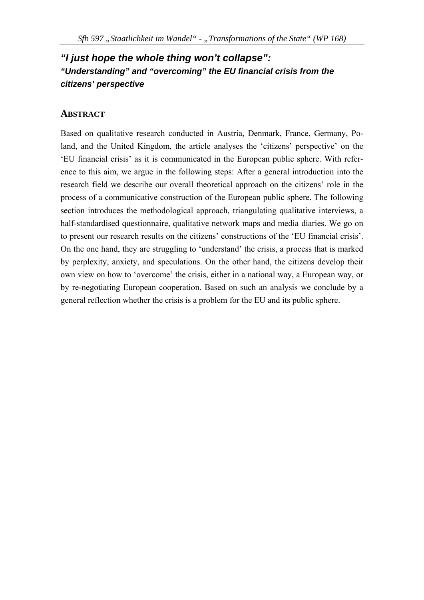# *"I just hope the whole thing won't collapse": "Understanding" and "overcoming" the EU financial crisis from the citizens' perspective*

## **ABSTRACT**

Based on qualitative research conducted in Austria, Denmark, France, Germany, Poland, and the United Kingdom, the article analyses the 'citizens' perspective' on the 'EU financial crisis' as it is communicated in the European public sphere. With reference to this aim, we argue in the following steps: After a general introduction into the research field we describe our overall theoretical approach on the citizens' role in the process of a communicative construction of the European public sphere. The following section introduces the methodological approach, triangulating qualitative interviews, a half-standardised questionnaire, qualitative network maps and media diaries. We go on to present our research results on the citizens' constructions of the 'EU financial crisis'. On the one hand, they are struggling to 'understand' the crisis, a process that is marked by perplexity, anxiety, and speculations. On the other hand, the citizens develop their own view on how to 'overcome' the crisis, either in a national way, a European way, or by re-negotiating European cooperation. Based on such an analysis we conclude by a general reflection whether the crisis is a problem for the EU and its public sphere.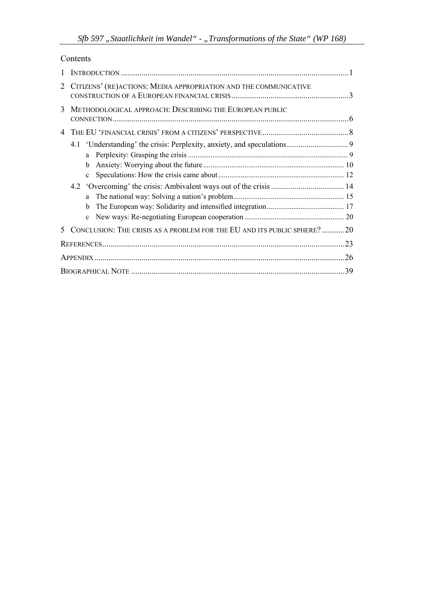| Contents |
|----------|
|----------|

| 2 | CITIZENS' (RE) ACTIONS: MEDIA APPROPRIATION AND THE COMMUNICATIVE       |     |
|---|-------------------------------------------------------------------------|-----|
| 3 | METHODOLOGICAL APPROACH: DESCRIBING THE EUROPEAN PUBLIC                 |     |
| 4 |                                                                         |     |
|   |                                                                         |     |
|   | a                                                                       |     |
|   | b.                                                                      |     |
|   | $\mathbf{c}$                                                            |     |
|   |                                                                         |     |
|   | a                                                                       |     |
|   | b                                                                       |     |
|   | $\mathbf{c}$                                                            |     |
|   | CONCLUSION: THE CRISIS AS A PROBLEM FOR THE EU AND ITS PUBLIC SPHERE?20 |     |
|   |                                                                         |     |
|   |                                                                         | .26 |
|   |                                                                         | 39  |
|   |                                                                         |     |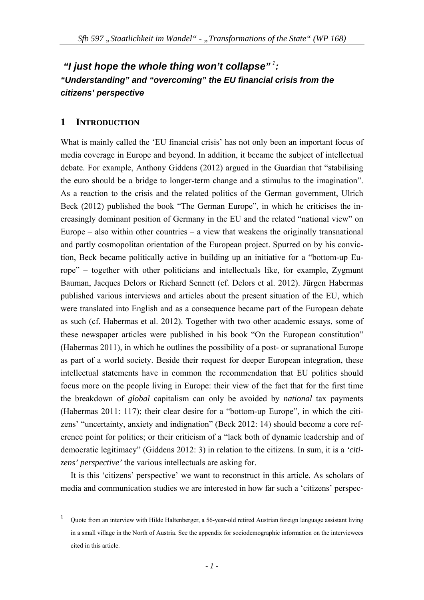# *"I just hope the whole thing won't collapse"<sup>1</sup>: "Understanding" and "overcoming" the EU financial crisis from the citizens' perspective*

## **1 INTRODUCTION**

1

What is mainly called the 'EU financial crisis' has not only been an important focus of media coverage in Europe and beyond. In addition, it became the subject of intellectual debate. For example, Anthony Giddens (2012) argued in the Guardian that "stabilising the euro should be a bridge to longer-term change and a stimulus to the imagination". As a reaction to the crisis and the related politics of the German government, Ulrich Beck (2012) published the book "The German Europe", in which he criticises the increasingly dominant position of Germany in the EU and the related "national view" on Europe – also within other countries – a view that weakens the originally transnational and partly cosmopolitan orientation of the European project. Spurred on by his conviction, Beck became politically active in building up an initiative for a "bottom-up Europe" – together with other politicians and intellectuals like, for example, Zygmunt Bauman, Jacques Delors or Richard Sennett (cf. Delors et al. 2012). Jürgen Habermas published various interviews and articles about the present situation of the EU, which were translated into English and as a consequence became part of the European debate as such (cf. Habermas et al. 2012). Together with two other academic essays, some of these newspaper articles were published in his book "On the European constitution" (Habermas 2011), in which he outlines the possibility of a post- or supranational Europe as part of a world society. Beside their request for deeper European integration, these intellectual statements have in common the recommendation that EU politics should focus more on the people living in Europe: their view of the fact that for the first time the breakdown of *global* capitalism can only be avoided by *national* tax payments (Habermas 2011: 117); their clear desire for a "bottom-up Europe", in which the citizens' "uncertainty, anxiety and indignation" (Beck 2012: 14) should become a core reference point for politics; or their criticism of a "lack both of dynamic leadership and of democratic legitimacy" (Giddens 2012: 3) in relation to the citizens. In sum, it is a *'citizens' perspective'* the various intellectuals are asking for.

It is this 'citizens' perspective' we want to reconstruct in this article. As scholars of media and communication studies we are interested in how far such a 'citizens' perspec-

<sup>1</sup> Quote from an interview with Hilde Haltenberger, a 56-year-old retired Austrian foreign language assistant living in a small village in the North of Austria. See the appendix for sociodemographic information on the interviewees cited in this article.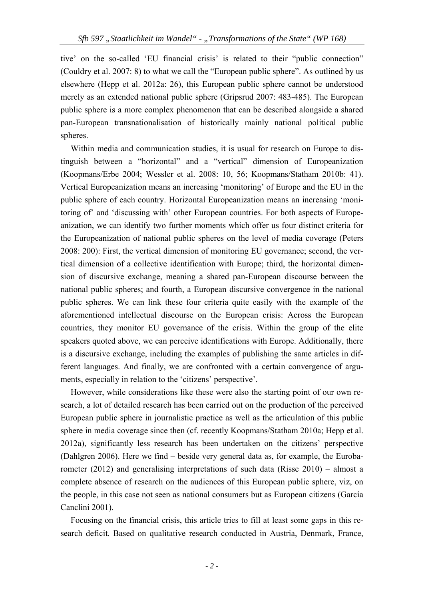tive' on the so-called 'EU financial crisis' is related to their "public connection" (Couldry et al. 2007: 8) to what we call the "European public sphere". As outlined by us elsewhere (Hepp et al. 2012a: 26), this European public sphere cannot be understood merely as an extended national public sphere (Gripsrud 2007: 483-485). The European public sphere is a more complex phenomenon that can be described alongside a shared pan-European transnationalisation of historically mainly national political public spheres.

Within media and communication studies, it is usual for research on Europe to distinguish between a "horizontal" and a "vertical" dimension of Europeanization (Koopmans/Erbe 2004; Wessler et al. 2008: 10, 56; Koopmans/Statham 2010b: 41). Vertical Europeanization means an increasing 'monitoring' of Europe and the EU in the public sphere of each country. Horizontal Europeanization means an increasing 'monitoring of' and 'discussing with' other European countries. For both aspects of Europeanization, we can identify two further moments which offer us four distinct criteria for the Europeanization of national public spheres on the level of media coverage (Peters 2008: 200): First, the vertical dimension of monitoring EU governance; second, the vertical dimension of a collective identification with Europe; third, the horizontal dimension of discursive exchange, meaning a shared pan-European discourse between the national public spheres; and fourth, a European discursive convergence in the national public spheres. We can link these four criteria quite easily with the example of the aforementioned intellectual discourse on the European crisis: Across the European countries, they monitor EU governance of the crisis. Within the group of the elite speakers quoted above, we can perceive identifications with Europe. Additionally, there is a discursive exchange, including the examples of publishing the same articles in different languages. And finally, we are confronted with a certain convergence of arguments, especially in relation to the 'citizens' perspective'.

However, while considerations like these were also the starting point of our own research, a lot of detailed research has been carried out on the production of the perceived European public sphere in journalistic practice as well as the articulation of this public sphere in media coverage since then (cf. recently Koopmans/Statham 2010a; Hepp et al. 2012a), significantly less research has been undertaken on the citizens' perspective (Dahlgren 2006). Here we find – beside very general data as, for example, the Eurobarometer (2012) and generalising interpretations of such data (Risse 2010) – almost a complete absence of research on the audiences of this European public sphere, viz, on the people, in this case not seen as national consumers but as European citizens (García Canclini 2001).

Focusing on the financial crisis, this article tries to fill at least some gaps in this research deficit. Based on qualitative research conducted in Austria, Denmark, France,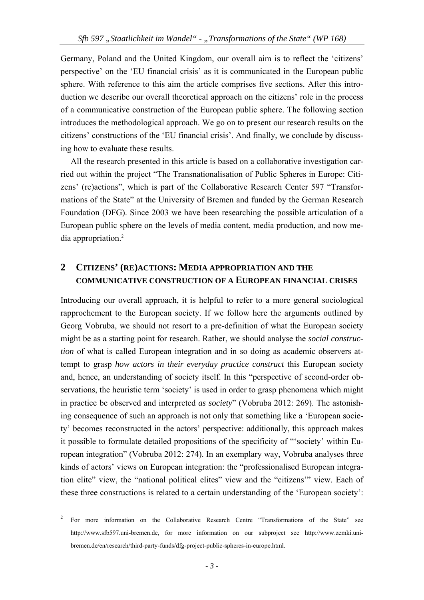Germany, Poland and the United Kingdom, our overall aim is to reflect the 'citizens' perspective' on the 'EU financial crisis' as it is communicated in the European public sphere. With reference to this aim the article comprises five sections. After this introduction we describe our overall theoretical approach on the citizens' role in the process of a communicative construction of the European public sphere. The following section introduces the methodological approach. We go on to present our research results on the citizens' constructions of the 'EU financial crisis'. And finally, we conclude by discussing how to evaluate these results.

All the research presented in this article is based on a collaborative investigation carried out within the project "The Transnationalisation of Public Spheres in Europe: Citizens' (re)actions", which is part of the Collaborative Research Center 597 "Transformations of the State" at the University of Bremen and funded by the German Research Foundation (DFG). Since 2003 we have been researching the possible articulation of a European public sphere on the levels of media content, media production, and now media appropriation.2

## **2 CITIZENS' (RE)ACTIONS: MEDIA APPROPRIATION AND THE COMMUNICATIVE CONSTRUCTION OF A EUROPEAN FINANCIAL CRISES**

Introducing our overall approach, it is helpful to refer to a more general sociological rapprochement to the European society. If we follow here the arguments outlined by Georg Vobruba, we should not resort to a pre-definition of what the European society might be as a starting point for research. Rather, we should analyse the *social construction* of what is called European integration and in so doing as academic observers attempt to grasp *how actors in their everyday practice construct* this European society and, hence, an understanding of society itself. In this "perspective of second-order observations, the heuristic term 'society' is used in order to grasp phenomena which might in practice be observed and interpreted *as society*" (Vobruba 2012: 269). The astonishing consequence of such an approach is not only that something like a 'European society' becomes reconstructed in the actors' perspective: additionally, this approach makes it possible to formulate detailed propositions of the specificity of "'society' within European integration" (Vobruba 2012: 274). In an exemplary way, Vobruba analyses three kinds of actors' views on European integration: the "professionalised European integration elite" view, the "national political elites" view and the "citizens'" view. Each of these three constructions is related to a certain understanding of the 'European society':

<sup>2</sup> For more information on the Collaborative Research Centre "Transformations of the State" see http://www.sfb597.uni-bremen.de, for more information on our subproject see http://www.zemki.unibremen.de/en/research/third-party-funds/dfg-project-public-spheres-in-europe.html.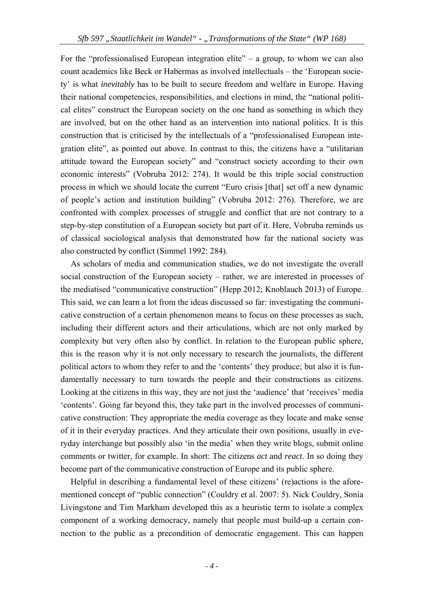For the "professionalised European integration elite" – a group, to whom we can also count academics like Beck or Habermas as involved intellectuals – the 'European society' is what *inevitably* has to be built to secure freedom and welfare in Europe. Having their national competencies, responsibilities, and elections in mind, the "national political elites" construct the European society on the one hand as something in which they are involved, but on the other hand as an intervention into national politics. It is this construction that is criticised by the intellectuals of a "professionalised European integration elite", as pointed out above. In contrast to this, the citizens have a "utilitarian attitude toward the European society" and "construct society according to their own economic interests" (Vobruba 2012: 274). It would be this triple social construction process in which we should locate the current "Euro crisis [that] set off a new dynamic of people's action and institution building" (Vobruba 2012: 276). Therefore, we are confronted with complex processes of struggle and conflict that are not contrary to a step-by-step constitution of a European society but part of it. Here, Vobruba reminds us of classical sociological analysis that demonstrated how far the national society was also constructed by conflict (Simmel 1992: 284).

As scholars of media and communication studies, we do not investigate the overall social construction of the European society – rather, we are interested in processes of the mediatised "communicative construction" (Hepp 2012; Knoblauch 2013) of Europe. This said, we can learn a lot from the ideas discussed so far: investigating the communicative construction of a certain phenomenon means to focus on these processes as such, including their different actors and their articulations, which are not only marked by complexity but very often also by conflict. In relation to the European public sphere, this is the reason why it is not only necessary to research the journalists, the different political actors to whom they refer to and the 'contents' they produce; but also it is fundamentally necessary to turn towards the people and their constructions as citizens. Looking at the citizens in this way, they are not just the 'audience' that 'receives' media 'contents'. Going far beyond this, they take part in the involved processes of communicative construction: They appropriate the media coverage as they locate and make sense of it in their everyday practices. And they articulate their own positions, usually in everyday interchange but possibly also 'in the media' when they write blogs, submit online comments or twitter, for example. In short: The citizens *act* and *react*. In so doing they become part of the communicative construction of Europe and its public sphere.

Helpful in describing a fundamental level of these citizens' (re)actions is the aforementioned concept of "public connection" (Couldry et al. 2007: 5). Nick Couldry, Sonia Livingstone and Tim Markham developed this as a heuristic term to isolate a complex component of a working democracy, namely that people must build-up a certain connection to the public as a precondition of democratic engagement. This can happen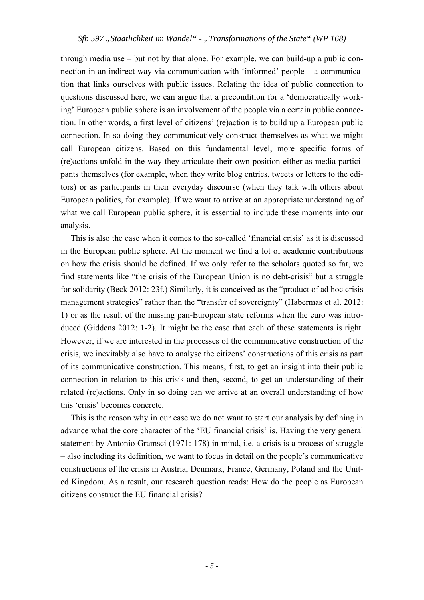through media use – but not by that alone. For example, we can build-up a public connection in an indirect way via communication with 'informed' people – a communication that links ourselves with public issues. Relating the idea of public connection to questions discussed here, we can argue that a precondition for a 'democratically working' European public sphere is an involvement of the people via a certain public connection. In other words, a first level of citizens' (re)action is to build up a European public connection. In so doing they communicatively construct themselves as what we might call European citizens. Based on this fundamental level, more specific forms of (re)actions unfold in the way they articulate their own position either as media participants themselves (for example, when they write blog entries, tweets or letters to the editors) or as participants in their everyday discourse (when they talk with others about European politics, for example). If we want to arrive at an appropriate understanding of what we call European public sphere, it is essential to include these moments into our analysis.

This is also the case when it comes to the so-called 'financial crisis' as it is discussed in the European public sphere. At the moment we find a lot of academic contributions on how the crisis should be defined. If we only refer to the scholars quoted so far, we find statements like "the crisis of the European Union is no debt-crisis" but a struggle for solidarity (Beck 2012: 23f.) Similarly, it is conceived as the "product of ad hoc crisis management strategies" rather than the "transfer of sovereignty" (Habermas et al. 2012: 1) or as the result of the missing pan-European state reforms when the euro was introduced (Giddens 2012: 1-2). It might be the case that each of these statements is right. However, if we are interested in the processes of the communicative construction of the crisis, we inevitably also have to analyse the citizens' constructions of this crisis as part of its communicative construction. This means, first, to get an insight into their public connection in relation to this crisis and then, second, to get an understanding of their related (re)actions. Only in so doing can we arrive at an overall understanding of how this 'crisis' becomes concrete.

This is the reason why in our case we do not want to start our analysis by defining in advance what the core character of the 'EU financial crisis' is. Having the very general statement by Antonio Gramsci (1971: 178) in mind, i.e. a crisis is a process of struggle – also including its definition, we want to focus in detail on the people's communicative constructions of the crisis in Austria, Denmark, France, Germany, Poland and the United Kingdom. As a result, our research question reads: How do the people as European citizens construct the EU financial crisis?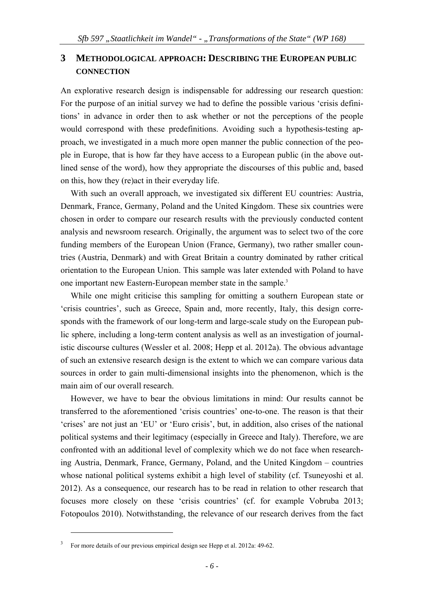## **3 METHODOLOGICAL APPROACH: DESCRIBING THE EUROPEAN PUBLIC CONNECTION**

An explorative research design is indispensable for addressing our research question: For the purpose of an initial survey we had to define the possible various 'crisis definitions' in advance in order then to ask whether or not the perceptions of the people would correspond with these predefinitions. Avoiding such a hypothesis-testing approach, we investigated in a much more open manner the public connection of the people in Europe, that is how far they have access to a European public (in the above outlined sense of the word), how they appropriate the discourses of this public and, based on this, how they (re)act in their everyday life.

With such an overall approach, we investigated six different EU countries: Austria, Denmark, France, Germany, Poland and the United Kingdom. These six countries were chosen in order to compare our research results with the previously conducted content analysis and newsroom research. Originally, the argument was to select two of the core funding members of the European Union (France, Germany), two rather smaller countries (Austria, Denmark) and with Great Britain a country dominated by rather critical orientation to the European Union. This sample was later extended with Poland to have one important new Eastern-European member state in the sample.<sup>3</sup>

While one might criticise this sampling for omitting a southern European state or 'crisis countries', such as Greece, Spain and, more recently, Italy, this design corresponds with the framework of our long-term and large-scale study on the European public sphere, including a long-term content analysis as well as an investigation of journalistic discourse cultures (Wessler et al. 2008; Hepp et al. 2012a). The obvious advantage of such an extensive research design is the extent to which we can compare various data sources in order to gain multi-dimensional insights into the phenomenon, which is the main aim of our overall research.

However, we have to bear the obvious limitations in mind: Our results cannot be transferred to the aforementioned 'crisis countries' one-to-one. The reason is that their 'crises' are not just an 'EU' or 'Euro crisis', but, in addition, also crises of the national political systems and their legitimacy (especially in Greece and Italy). Therefore, we are confronted with an additional level of complexity which we do not face when researching Austria, Denmark, France, Germany, Poland, and the United Kingdom – countries whose national political systems exhibit a high level of stability (cf. Tsuneyoshi et al. 2012). As a consequence, our research has to be read in relation to other research that focuses more closely on these 'crisis countries' (cf. for example Vobruba 2013; Fotopoulos 2010). Notwithstanding, the relevance of our research derives from the fact

<sup>3</sup> For more details of our previous empirical design see Hepp et al. 2012a: 49-62.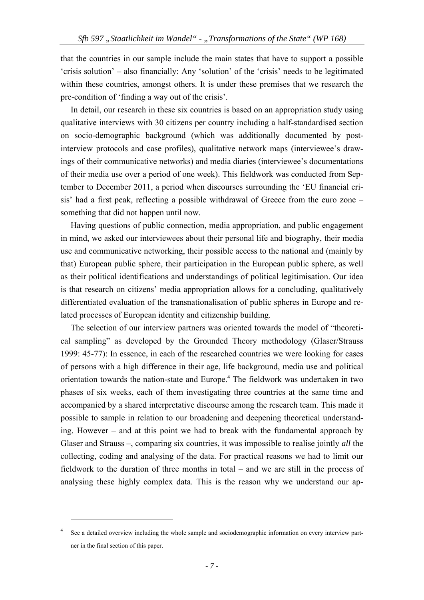that the countries in our sample include the main states that have to support a possible 'crisis solution' – also financially: Any 'solution' of the 'crisis' needs to be legitimated within these countries, amongst others. It is under these premises that we research the pre-condition of 'finding a way out of the crisis'.

In detail, our research in these six countries is based on an appropriation study using qualitative interviews with 30 citizens per country including a half-standardised section on socio-demographic background (which was additionally documented by postinterview protocols and case profiles), qualitative network maps (interviewee's drawings of their communicative networks) and media diaries (interviewee's documentations of their media use over a period of one week). This fieldwork was conducted from September to December 2011, a period when discourses surrounding the 'EU financial crisis' had a first peak, reflecting a possible withdrawal of Greece from the euro zone – something that did not happen until now.

Having questions of public connection, media appropriation, and public engagement in mind, we asked our interviewees about their personal life and biography, their media use and communicative networking, their possible access to the national and (mainly by that) European public sphere, their participation in the European public sphere, as well as their political identifications and understandings of political legitimisation. Our idea is that research on citizens' media appropriation allows for a concluding, qualitatively differentiated evaluation of the transnationalisation of public spheres in Europe and related processes of European identity and citizenship building.

The selection of our interview partners was oriented towards the model of "theoretical sampling" as developed by the Grounded Theory methodology (Glaser/Strauss 1999: 45-77): In essence, in each of the researched countries we were looking for cases of persons with a high difference in their age, life background, media use and political orientation towards the nation-state and Europe.<sup>4</sup> The fieldwork was undertaken in two phases of six weeks, each of them investigating three countries at the same time and accompanied by a shared interpretative discourse among the research team. This made it possible to sample in relation to our broadening and deepening theoretical understanding. However – and at this point we had to break with the fundamental approach by Glaser and Strauss –, comparing six countries, it was impossible to realise jointly *all* the collecting, coding and analysing of the data. For practical reasons we had to limit our fieldwork to the duration of three months in total – and we are still in the process of analysing these highly complex data. This is the reason why we understand our ap-

<sup>4</sup> See a detailed overview including the whole sample and sociodemographic information on every interview partner in the final section of this paper.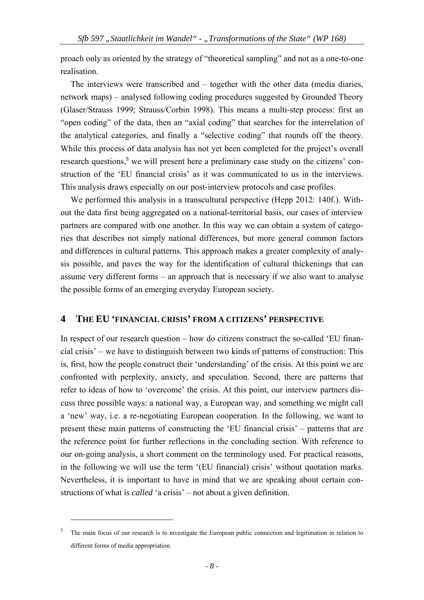proach only as oriented by the strategy of "theoretical sampling" and not as a one-to-one realisation.

The interviews were transcribed and – together with the other data (media diaries, network maps) – analysed following coding procedures suggested by Grounded Theory (Glaser/Strauss 1999; Strauss/Corbin 1998). This means a multi-step process: first an "open coding" of the data, then an "axial coding" that searches for the interrelation of the analytical categories, and finally a "selective coding" that rounds off the theory. While this process of data analysis has not yet been completed for the project's overall research questions,<sup>5</sup> we will present here a preliminary case study on the citizens' construction of the 'EU financial crisis' as it was communicated to us in the interviews. This analysis draws especially on our post-interview protocols and case profiles.

We performed this analysis in a transcultural perspective (Hepp 2012: 140f.). Without the data first being aggregated on a national-territorial basis, our cases of interview partners are compared with one another. In this way we can obtain a system of categories that describes not simply national differences, but more general common factors and differences in cultural patterns. This approach makes a greater complexity of analysis possible, and paves the way for the identification of cultural thickenings that can assume very different forms – an approach that is necessary if we also want to analyse the possible forms of an emerging everyday European society.

## **4 THE EU 'FINANCIAL CRISIS' FROM A CITIZENS' PERSPECTIVE**

In respect of our research question – how do citizens construct the so-called 'EU financial crisis' – we have to distinguish between two kinds of patterns of construction: This is, first, how the people construct their 'understanding' of the crisis. At this point we are confronted with perplexity, anxiety, and speculation. Second, there are patterns that refer to ideas of how to 'overcome' the crisis. At this point, our interview partners discuss three possible ways: a national way, a European way, and something we might call a 'new' way, i.e. a re-negotiating European cooperation. In the following, we want to present these main patterns of constructing the 'EU financial crisis' – patterns that are the reference point for further reflections in the concluding section. With reference to our on-going analysis, a short comment on the terminology used. For practical reasons, in the following we will use the term '(EU financial) crisis' without quotation marks. Nevertheless, it is important to have in mind that we are speaking about certain constructions of what is *called* 'a crisis' – not about a given definition.

<sup>5</sup> The main focus of our research is to investigate the European public connection and legitimation in relation to different forms of media appropriation.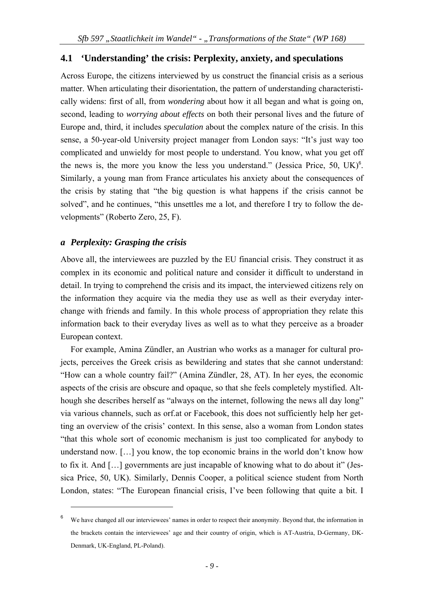#### **4.1 'Understanding' the crisis: Perplexity, anxiety, and speculations**

Across Europe, the citizens interviewed by us construct the financial crisis as a serious matter. When articulating their disorientation, the pattern of understanding characteristically widens: first of all, from *wondering* about how it all began and what is going on, second, leading to *worrying about effects* on both their personal lives and the future of Europe and, third, it includes *speculation* about the complex nature of the crisis. In this sense, a 50-year-old University project manager from London says: "It's just way too complicated and unwieldy for most people to understand. You know, what you get off the news is, the more you know the less you understand." (Jessica Price,  $50$ , UK) $6$ . Similarly, a young man from France articulates his anxiety about the consequences of the crisis by stating that "the big question is what happens if the crisis cannot be solved", and he continues, "this unsettles me a lot, and therefore I try to follow the developments" (Roberto Zero, 25, F).

#### *a Perplexity: Grasping the crisis*

1

Above all, the interviewees are puzzled by the EU financial crisis. They construct it as complex in its economic and political nature and consider it difficult to understand in detail. In trying to comprehend the crisis and its impact, the interviewed citizens rely on the information they acquire via the media they use as well as their everyday interchange with friends and family. In this whole process of appropriation they relate this information back to their everyday lives as well as to what they perceive as a broader European context.

For example, Amina Zündler, an Austrian who works as a manager for cultural projects, perceives the Greek crisis as bewildering and states that she cannot understand: "How can a whole country fail?" (Amina Zündler, 28, AT). In her eyes, the economic aspects of the crisis are obscure and opaque, so that she feels completely mystified. Although she describes herself as "always on the internet, following the news all day long" via various channels, such as orf.at or Facebook, this does not sufficiently help her getting an overview of the crisis' context. In this sense, also a woman from London states "that this whole sort of economic mechanism is just too complicated for anybody to understand now. [...] you know, the top economic brains in the world don't know how to fix it. And … governments are just incapable of knowing what to do about it" (Jessica Price, 50, UK). Similarly, Dennis Cooper, a political science student from North London, states: "The European financial crisis, I've been following that quite a bit. I

<sup>6</sup> We have changed all our interviewees' names in order to respect their anonymity. Beyond that, the information in the brackets contain the interviewees' age and their country of origin, which is AT-Austria, D-Germany, DK-Denmark, UK-England, PL-Poland).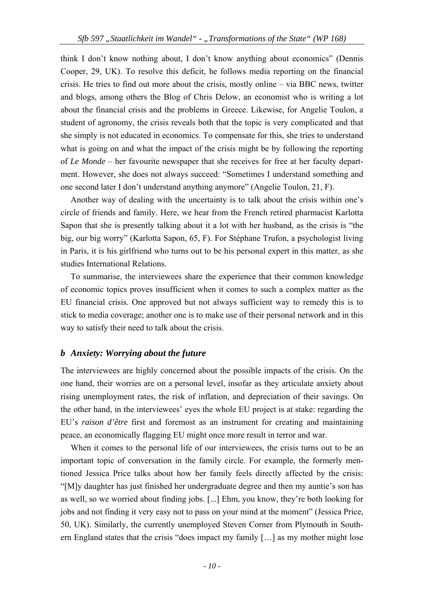think I don't know nothing about, I don't know anything about economics" (Dennis Cooper, 29, UK). To resolve this deficit, he follows media reporting on the financial crisis. He tries to find out more about the crisis, mostly online – via BBC news, twitter and blogs, among others the Blog of Chris Delow, an economist who is writing a lot about the financial crisis and the problems in Greece. Likewise, for Angelie Toulon, a student of agronomy, the crisis reveals both that the topic is very complicated and that she simply is not educated in economics. To compensate for this, she tries to understand what is going on and what the impact of the crisis might be by following the reporting of *Le Monde* – her favourite newspaper that she receives for free at her faculty department. However, she does not always succeed: "Sometimes I understand something and one second later I don't understand anything anymore" (Angelie Toulon, 21, F).

Another way of dealing with the uncertainty is to talk about the crisis within one's circle of friends and family. Here, we hear from the French retired pharmacist Karlotta Sapon that she is presently talking about it a lot with her husband, as the crisis is "the big, our big worry" (Karlotta Sapon, 65, F). For Stéphane Trufon, a psychologist living in Paris, it is his girlfriend who turns out to be his personal expert in this matter, as she studies International Relations.

To summarise, the interviewees share the experience that their common knowledge of economic topics proves insufficient when it comes to such a complex matter as the EU financial crisis. One approved but not always sufficient way to remedy this is to stick to media coverage; another one is to make use of their personal network and in this way to satisfy their need to talk about the crisis.

## *b Anxiety: Worrying about the future*

The interviewees are highly concerned about the possible impacts of the crisis. On the one hand, their worries are on a personal level, insofar as they articulate anxiety about rising unemployment rates, the risk of inflation, and depreciation of their savings. On the other hand, in the interviewees' eyes the whole EU project is at stake: regarding the EU's *raison d'être* first and foremost as an instrument for creating and maintaining peace, an economically flagging EU might once more result in terror and war.

When it comes to the personal life of our interviewees, the crisis turns out to be an important topic of conversation in the family circle. For example, the formerly mentioned Jessica Price talks about how her family feels directly affected by the crisis: "[M]y daughter has just finished her undergraduate degree and then my auntie's son has as well, so we worried about finding jobs. [...] Ehm, you know, they're both looking for jobs and not finding it very easy not to pass on your mind at the moment" (Jessica Price, 50, UK). Similarly, the currently unemployed Steven Corner from Plymouth in Southern England states that the crisis "does impact my family  $[\dots]$  as my mother might lose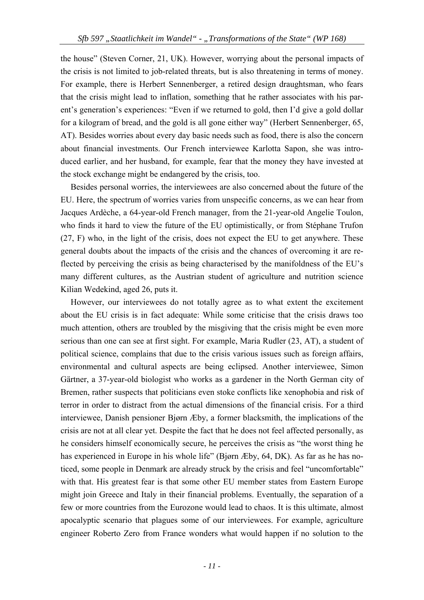the house" (Steven Corner, 21, UK). However, worrying about the personal impacts of the crisis is not limited to job-related threats, but is also threatening in terms of money. For example, there is Herbert Sennenberger, a retired design draughtsman, who fears that the crisis might lead to inflation, something that he rather associates with his parent's generation's experiences: "Even if we returned to gold, then I'd give a gold dollar for a kilogram of bread, and the gold is all gone either way" (Herbert Sennenberger, 65, AT). Besides worries about every day basic needs such as food, there is also the concern about financial investments. Our French interviewee Karlotta Sapon, she was introduced earlier, and her husband, for example, fear that the money they have invested at the stock exchange might be endangered by the crisis, too.

Besides personal worries, the interviewees are also concerned about the future of the EU. Here, the spectrum of worries varies from unspecific concerns, as we can hear from Jacques Ardèche, a 64-year-old French manager, from the 21-year-old Angelie Toulon, who finds it hard to view the future of the EU optimistically, or from Stéphane Trufon (27, F) who, in the light of the crisis, does not expect the EU to get anywhere. These general doubts about the impacts of the crisis and the chances of overcoming it are reflected by perceiving the crisis as being characterised by the manifoldness of the EU's many different cultures, as the Austrian student of agriculture and nutrition science Kilian Wedekind, aged 26, puts it.

However, our interviewees do not totally agree as to what extent the excitement about the EU crisis is in fact adequate: While some criticise that the crisis draws too much attention, others are troubled by the misgiving that the crisis might be even more serious than one can see at first sight. For example, Maria Rudler (23, AT), a student of political science, complains that due to the crisis various issues such as foreign affairs, environmental and cultural aspects are being eclipsed. Another interviewee, Simon Gärtner, a 37-year-old biologist who works as a gardener in the North German city of Bremen, rather suspects that politicians even stoke conflicts like xenophobia and risk of terror in order to distract from the actual dimensions of the financial crisis. For a third interviewee, Danish pensioner Bjørn Æby, a former blacksmith, the implications of the crisis are not at all clear yet. Despite the fact that he does not feel affected personally, as he considers himself economically secure, he perceives the crisis as "the worst thing he has experienced in Europe in his whole life" (Bjørn Æby, 64, DK). As far as he has noticed, some people in Denmark are already struck by the crisis and feel "uncomfortable" with that. His greatest fear is that some other EU member states from Eastern Europe might join Greece and Italy in their financial problems. Eventually, the separation of a few or more countries from the Eurozone would lead to chaos. It is this ultimate, almost apocalyptic scenario that plagues some of our interviewees. For example, agriculture engineer Roberto Zero from France wonders what would happen if no solution to the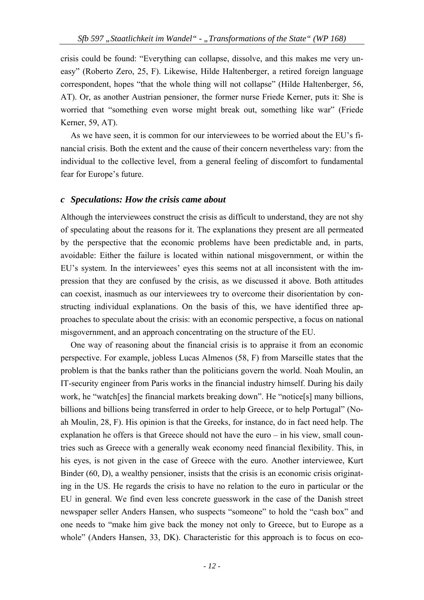crisis could be found: "Everything can collapse, dissolve, and this makes me very uneasy" (Roberto Zero, 25, F). Likewise, Hilde Haltenberger, a retired foreign language correspondent, hopes "that the whole thing will not collapse" (Hilde Haltenberger, 56, AT). Or, as another Austrian pensioner, the former nurse Friede Kerner, puts it: She is worried that "something even worse might break out, something like war" (Friede Kerner, 59, AT).

As we have seen, it is common for our interviewees to be worried about the EU's financial crisis. Both the extent and the cause of their concern nevertheless vary: from the individual to the collective level, from a general feeling of discomfort to fundamental fear for Europe's future.

#### *c Speculations: How the crisis came about*

Although the interviewees construct the crisis as difficult to understand, they are not shy of speculating about the reasons for it. The explanations they present are all permeated by the perspective that the economic problems have been predictable and, in parts, avoidable: Either the failure is located within national misgovernment, or within the EU's system. In the interviewees' eyes this seems not at all inconsistent with the impression that they are confused by the crisis, as we discussed it above. Both attitudes can coexist, inasmuch as our interviewees try to overcome their disorientation by constructing individual explanations. On the basis of this, we have identified three approaches to speculate about the crisis: with an economic perspective, a focus on national misgovernment, and an approach concentrating on the structure of the EU.

One way of reasoning about the financial crisis is to appraise it from an economic perspective. For example, jobless Lucas Almenos (58, F) from Marseille states that the problem is that the banks rather than the politicians govern the world. Noah Moulin, an IT-security engineer from Paris works in the financial industry himself. During his daily work, he "watch[es] the financial markets breaking down". He "notice[s] many billions, billions and billions being transferred in order to help Greece, or to help Portugal" (Noah Moulin, 28, F). His opinion is that the Greeks, for instance, do in fact need help. The explanation he offers is that Greece should not have the euro – in his view, small countries such as Greece with a generally weak economy need financial flexibility. This, in his eyes, is not given in the case of Greece with the euro. Another interviewee, Kurt Binder (60, D), a wealthy pensioner, insists that the crisis is an economic crisis originating in the US. He regards the crisis to have no relation to the euro in particular or the EU in general. We find even less concrete guesswork in the case of the Danish street newspaper seller Anders Hansen, who suspects "someone" to hold the "cash box" and one needs to "make him give back the money not only to Greece, but to Europe as a whole" (Anders Hansen, 33, DK). Characteristic for this approach is to focus on eco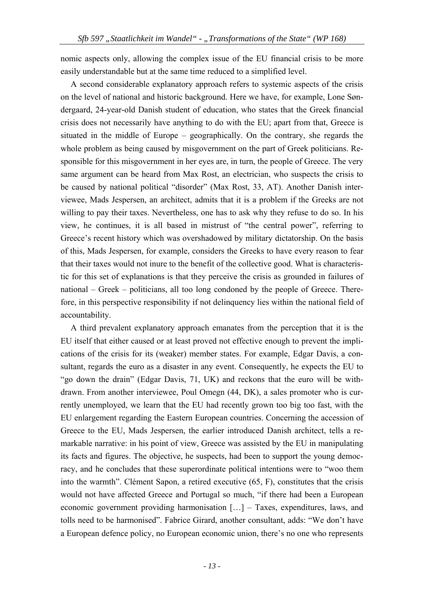nomic aspects only, allowing the complex issue of the EU financial crisis to be more easily understandable but at the same time reduced to a simplified level.

A second considerable explanatory approach refers to systemic aspects of the crisis on the level of national and historic background. Here we have, for example, Lone Søndergaard, 24-year-old Danish student of education, who states that the Greek financial crisis does not necessarily have anything to do with the EU; apart from that, Greece is situated in the middle of Europe – geographically. On the contrary, she regards the whole problem as being caused by misgovernment on the part of Greek politicians. Responsible for this misgovernment in her eyes are, in turn, the people of Greece. The very same argument can be heard from Max Rost, an electrician, who suspects the crisis to be caused by national political "disorder" (Max Rost, 33, AT). Another Danish interviewee, Mads Jespersen, an architect, admits that it is a problem if the Greeks are not willing to pay their taxes. Nevertheless, one has to ask why they refuse to do so. In his view, he continues, it is all based in mistrust of "the central power", referring to Greece's recent history which was overshadowed by military dictatorship. On the basis of this, Mads Jespersen, for example, considers the Greeks to have every reason to fear that their taxes would not inure to the benefit of the collective good. What is characteristic for this set of explanations is that they perceive the crisis as grounded in failures of national – Greek – politicians, all too long condoned by the people of Greece. Therefore, in this perspective responsibility if not delinquency lies within the national field of accountability.

A third prevalent explanatory approach emanates from the perception that it is the EU itself that either caused or at least proved not effective enough to prevent the implications of the crisis for its (weaker) member states. For example, Edgar Davis, a consultant, regards the euro as a disaster in any event. Consequently, he expects the EU to "go down the drain" (Edgar Davis, 71, UK) and reckons that the euro will be withdrawn. From another interviewee, Poul Omegn (44, DK), a sales promoter who is currently unemployed, we learn that the EU had recently grown too big too fast, with the EU enlargement regarding the Eastern European countries. Concerning the accession of Greece to the EU, Mads Jespersen, the earlier introduced Danish architect, tells a remarkable narrative: in his point of view, Greece was assisted by the EU in manipulating its facts and figures. The objective, he suspects, had been to support the young democracy, and he concludes that these superordinate political intentions were to "woo them into the warmth". Clément Sapon, a retired executive (65, F), constitutes that the crisis would not have affected Greece and Portugal so much, "if there had been a European economic government providing harmonisation […] – Taxes, expenditures, laws, and tolls need to be harmonised". Fabrice Girard, another consultant, adds: "We don't have a European defence policy, no European economic union, there's no one who represents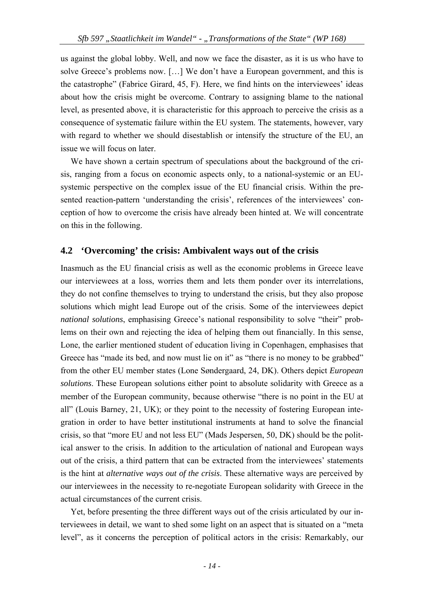us against the global lobby. Well, and now we face the disaster, as it is us who have to solve Greece's problems now. […] We don't have a European government, and this is the catastrophe" (Fabrice Girard, 45, F). Here, we find hints on the interviewees' ideas about how the crisis might be overcome. Contrary to assigning blame to the national level, as presented above, it is characteristic for this approach to perceive the crisis as a consequence of systematic failure within the EU system. The statements, however, vary with regard to whether we should disestablish or intensify the structure of the EU, an issue we will focus on later.

We have shown a certain spectrum of speculations about the background of the crisis, ranging from a focus on economic aspects only, to a national-systemic or an EUsystemic perspective on the complex issue of the EU financial crisis. Within the presented reaction-pattern 'understanding the crisis', references of the interviewees' conception of how to overcome the crisis have already been hinted at. We will concentrate on this in the following.

### **4.2 'Overcoming' the crisis: Ambivalent ways out of the crisis**

Inasmuch as the EU financial crisis as well as the economic problems in Greece leave our interviewees at a loss, worries them and lets them ponder over its interrelations, they do not confine themselves to trying to understand the crisis, but they also propose solutions which might lead Europe out of the crisis. Some of the interviewees depict *national solutions*, emphasising Greece's national responsibility to solve "their" problems on their own and rejecting the idea of helping them out financially. In this sense, Lone, the earlier mentioned student of education living in Copenhagen, emphasises that Greece has "made its bed, and now must lie on it" as "there is no money to be grabbed" from the other EU member states (Lone Søndergaard, 24, DK). Others depict *European solutions*. These European solutions either point to absolute solidarity with Greece as a member of the European community, because otherwise "there is no point in the EU at all" (Louis Barney, 21, UK); or they point to the necessity of fostering European integration in order to have better institutional instruments at hand to solve the financial crisis, so that "more EU and not less EU" (Mads Jespersen, 50, DK) should be the political answer to the crisis. In addition to the articulation of national and European ways out of the crisis, a third pattern that can be extracted from the interviewees' statements is the hint at *alternative ways out of the crisis*. These alternative ways are perceived by our interviewees in the necessity to re-negotiate European solidarity with Greece in the actual circumstances of the current crisis.

Yet, before presenting the three different ways out of the crisis articulated by our interviewees in detail, we want to shed some light on an aspect that is situated on a "meta level", as it concerns the perception of political actors in the crisis: Remarkably, our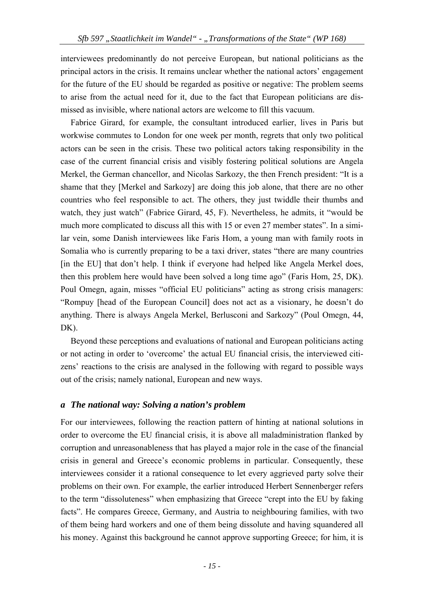interviewees predominantly do not perceive European, but national politicians as the principal actors in the crisis. It remains unclear whether the national actors' engagement for the future of the EU should be regarded as positive or negative: The problem seems to arise from the actual need for it, due to the fact that European politicians are dismissed as invisible, where national actors are welcome to fill this vacuum.

Fabrice Girard, for example, the consultant introduced earlier, lives in Paris but workwise commutes to London for one week per month, regrets that only two political actors can be seen in the crisis. These two political actors taking responsibility in the case of the current financial crisis and visibly fostering political solutions are Angela Merkel, the German chancellor, and Nicolas Sarkozy, the then French president: "It is a shame that they [Merkel and Sarkozy] are doing this job alone, that there are no other countries who feel responsible to act. The others, they just twiddle their thumbs and watch, they just watch" (Fabrice Girard, 45, F). Nevertheless, he admits, it "would be much more complicated to discuss all this with 15 or even 27 member states". In a similar vein, some Danish interviewees like Faris Hom, a young man with family roots in Somalia who is currently preparing to be a taxi driver, states "there are many countries [in the EU] that don't help. I think if everyone had helped like Angela Merkel does, then this problem here would have been solved a long time ago" (Faris Hom, 25, DK). Poul Omegn, again, misses "official EU politicians" acting as strong crisis managers: "Rompuy [head of the European Council] does not act as a visionary, he doesn't do anything. There is always Angela Merkel, Berlusconi and Sarkozy" (Poul Omegn, 44, DK).

Beyond these perceptions and evaluations of national and European politicians acting or not acting in order to 'overcome' the actual EU financial crisis, the interviewed citizens' reactions to the crisis are analysed in the following with regard to possible ways out of the crisis; namely national, European and new ways.

## *a The national way: Solving a nation's problem*

For our interviewees, following the reaction pattern of hinting at national solutions in order to overcome the EU financial crisis, it is above all maladministration flanked by corruption and unreasonableness that has played a major role in the case of the financial crisis in general and Greece's economic problems in particular. Consequently, these interviewees consider it a rational consequence to let every aggrieved party solve their problems on their own. For example, the earlier introduced Herbert Sennenberger refers to the term "dissoluteness" when emphasizing that Greece "crept into the EU by faking facts". He compares Greece, Germany, and Austria to neighbouring families, with two of them being hard workers and one of them being dissolute and having squandered all his money. Against this background he cannot approve supporting Greece; for him, it is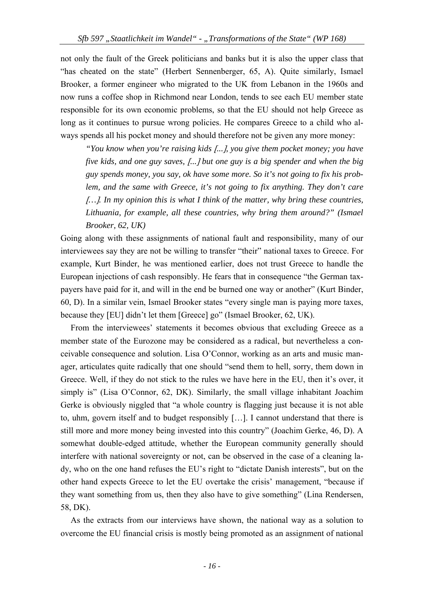not only the fault of the Greek politicians and banks but it is also the upper class that "has cheated on the state" (Herbert Sennenberger, 65, A). Quite similarly, Ismael Brooker, a former engineer who migrated to the UK from Lebanon in the 1960s and now runs a coffee shop in Richmond near London, tends to see each EU member state responsible for its own economic problems, so that the EU should not help Greece as long as it continues to pursue wrong policies. He compares Greece to a child who always spends all his pocket money and should therefore not be given any more money:

*"You know when you're raising kids ..., you give them pocket money; you have five kids, and one guy saves, ... but one guy is a big spender and when the big guy spends money, you say, ok have some more. So it's not going to fix his problem, and the same with Greece, it's not going to fix anything. They don't care …. In my opinion this is what I think of the matter, why bring these countries, Lithuania, for example, all these countries, why bring them around?" (Ismael Brooker, 62, UK)* 

Going along with these assignments of national fault and responsibility, many of our interviewees say they are not be willing to transfer "their" national taxes to Greece. For example, Kurt Binder, he was mentioned earlier, does not trust Greece to handle the European injections of cash responsibly. He fears that in consequence "the German taxpayers have paid for it, and will in the end be burned one way or another" (Kurt Binder, 60, D). In a similar vein, Ismael Brooker states "every single man is paying more taxes, because they [EU] didn't let them [Greece] go" (Ismael Brooker, 62, UK).

From the interviewees' statements it becomes obvious that excluding Greece as a member state of the Eurozone may be considered as a radical, but nevertheless a conceivable consequence and solution. Lisa O'Connor, working as an arts and music manager, articulates quite radically that one should "send them to hell, sorry, them down in Greece. Well, if they do not stick to the rules we have here in the EU, then it's over, it simply is" (Lisa O'Connor, 62, DK). Similarly, the small village inhabitant Joachim Gerke is obviously niggled that "a whole country is flagging just because it is not able to, uhm, govern itself and to budget responsibly …. I cannot understand that there is still more and more money being invested into this country" (Joachim Gerke, 46, D). A somewhat double-edged attitude, whether the European community generally should interfere with national sovereignty or not, can be observed in the case of a cleaning lady, who on the one hand refuses the EU's right to "dictate Danish interests", but on the other hand expects Greece to let the EU overtake the crisis' management, "because if they want something from us, then they also have to give something" (Lina Rendersen, 58, DK).

As the extracts from our interviews have shown, the national way as a solution to overcome the EU financial crisis is mostly being promoted as an assignment of national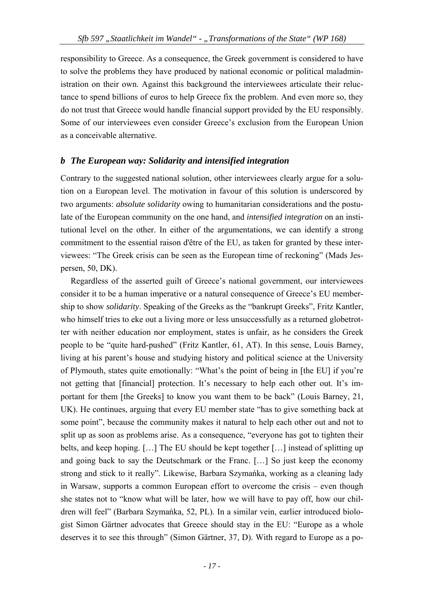responsibility to Greece. As a consequence, the Greek government is considered to have to solve the problems they have produced by national economic or political maladministration on their own. Against this background the interviewees articulate their reluctance to spend billions of euros to help Greece fix the problem. And even more so, they do not trust that Greece would handle financial support provided by the EU responsibly. Some of our interviewees even consider Greece's exclusion from the European Union as a conceivable alternative.

## *b The European way: Solidarity and intensified integration*

Contrary to the suggested national solution, other interviewees clearly argue for a solution on a European level. The motivation in favour of this solution is underscored by two arguments: *absolute solidarity* owing to humanitarian considerations and the postulate of the European community on the one hand, and *intensified integration* on an institutional level on the other. In either of the argumentations, we can identify a strong commitment to the essential raison d'être of the EU, as taken for granted by these interviewees: "The Greek crisis can be seen as the European time of reckoning" (Mads Jespersen, 50, DK).

Regardless of the asserted guilt of Greece's national government, our interviewees consider it to be a human imperative or a natural consequence of Greece's EU membership to show *solidarity*. Speaking of the Greeks as the "bankrupt Greeks", Fritz Kantler, who himself tries to eke out a living more or less unsuccessfully as a returned globetrotter with neither education nor employment, states is unfair, as he considers the Greek people to be "quite hard-pushed" (Fritz Kantler, 61, AT). In this sense, Louis Barney, living at his parent's house and studying history and political science at the University of Plymouth, states quite emotionally: "What's the point of being in [the EU] if you're not getting that [financial] protection. It's necessary to help each other out. It's important for them [the Greeks] to know you want them to be back" (Louis Barney, 21, UK). He continues, arguing that every EU member state "has to give something back at some point", because the community makes it natural to help each other out and not to split up as soon as problems arise. As a consequence, "everyone has got to tighten their belts, and keep hoping.  $[\dots]$  The EU should be kept together  $[\dots]$  instead of splitting up and going back to say the Deutschmark or the Franc. [...] So just keep the economy strong and stick to it really". Likewise, Barbara Szymańka, working as a cleaning lady in Warsaw, supports a common European effort to overcome the crisis – even though she states not to "know what will be later, how we will have to pay off, how our children will feel" (Barbara Szymańka, 52, PL). In a similar vein, earlier introduced biologist Simon Gärtner advocates that Greece should stay in the EU: "Europe as a whole deserves it to see this through" (Simon Gärtner, 37, D). With regard to Europe as a po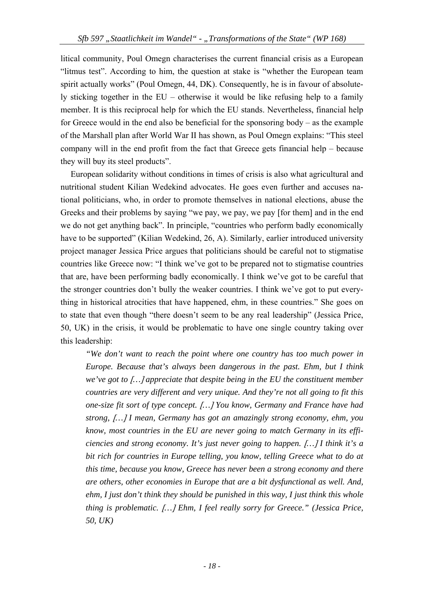litical community, Poul Omegn characterises the current financial crisis as a European "litmus test". According to him, the question at stake is "whether the European team spirit actually works" (Poul Omegn, 44, DK). Consequently, he is in favour of absolutely sticking together in the EU – otherwise it would be like refusing help to a family member. It is this reciprocal help for which the EU stands. Nevertheless, financial help for Greece would in the end also be beneficial for the sponsoring body – as the example of the Marshall plan after World War II has shown, as Poul Omegn explains: "This steel company will in the end profit from the fact that Greece gets financial help – because they will buy its steel products".

European solidarity without conditions in times of crisis is also what agricultural and nutritional student Kilian Wedekind advocates. He goes even further and accuses national politicians, who, in order to promote themselves in national elections, abuse the Greeks and their problems by saying "we pay, we pay, we pay for them and in the end we do not get anything back". In principle, "countries who perform badly economically have to be supported" (Kilian Wedekind, 26, A). Similarly, earlier introduced university project manager Jessica Price argues that politicians should be careful not to stigmatise countries like Greece now: "I think we've got to be prepared not to stigmatise countries that are, have been performing badly economically. I think we've got to be careful that the stronger countries don't bully the weaker countries. I think we've got to put everything in historical atrocities that have happened, ehm, in these countries." She goes on to state that even though "there doesn't seem to be any real leadership" (Jessica Price, 50, UK) in the crisis, it would be problematic to have one single country taking over this leadership:

*"We don't want to reach the point where one country has too much power in Europe. Because that's always been dangerous in the past. Ehm, but I think we've got to … appreciate that despite being in the EU the constituent member countries are very different and very unique. And they're not all going to fit this one-size fit sort of type concept. … You know, Germany and France have had strong, … I mean, Germany has got an amazingly strong economy, ehm, you know, most countries in the EU are never going to match Germany in its efficiencies and strong economy. It's just never going to happen. … I think it's a bit rich for countries in Europe telling, you know, telling Greece what to do at this time, because you know, Greece has never been a strong economy and there are others, other economies in Europe that are a bit dysfunctional as well. And, ehm, I just don't think they should be punished in this way, I just think this whole thing is problematic. … Ehm, I feel really sorry for Greece." (Jessica Price, 50, UK)*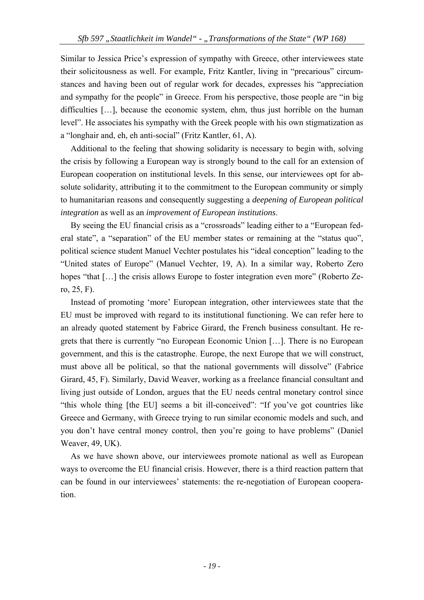Similar to Jessica Price's expression of sympathy with Greece, other interviewees state their solicitousness as well. For example, Fritz Kantler, living in "precarious" circumstances and having been out of regular work for decades, expresses his "appreciation and sympathy for the people" in Greece. From his perspective, those people are "in big difficulties [...], because the economic system, ehm, thus just horrible on the human level". He associates his sympathy with the Greek people with his own stigmatization as a "longhair and, eh, eh anti-social" (Fritz Kantler, 61, A).

Additional to the feeling that showing solidarity is necessary to begin with, solving the crisis by following a European way is strongly bound to the call for an extension of European cooperation on institutional levels. In this sense, our interviewees opt for absolute solidarity, attributing it to the commitment to the European community or simply to humanitarian reasons and consequently suggesting a *deepening of European political integration* as well as an *improvement of European institutions*.

By seeing the EU financial crisis as a "crossroads" leading either to a "European federal state", a "separation" of the EU member states or remaining at the "status quo", political science student Manuel Vechter postulates his "ideal conception" leading to the "United states of Europe" (Manuel Vechter, 19, A). In a similar way, Roberto Zero hopes "that [...] the crisis allows Europe to foster integration even more" (Roberto Zero, 25, F).

Instead of promoting 'more' European integration, other interviewees state that the EU must be improved with regard to its institutional functioning. We can refer here to an already quoted statement by Fabrice Girard, the French business consultant. He regrets that there is currently "no European Economic Union …. There is no European government, and this is the catastrophe. Europe, the next Europe that we will construct, must above all be political, so that the national governments will dissolve" (Fabrice Girard, 45, F). Similarly, David Weaver, working as a freelance financial consultant and living just outside of London, argues that the EU needs central monetary control since "this whole thing [the EU] seems a bit ill-conceived": "If you've got countries like Greece and Germany, with Greece trying to run similar economic models and such, and you don't have central money control, then you're going to have problems" (Daniel Weaver, 49, UK).

As we have shown above, our interviewees promote national as well as European ways to overcome the EU financial crisis. However, there is a third reaction pattern that can be found in our interviewees' statements: the re-negotiation of European cooperation.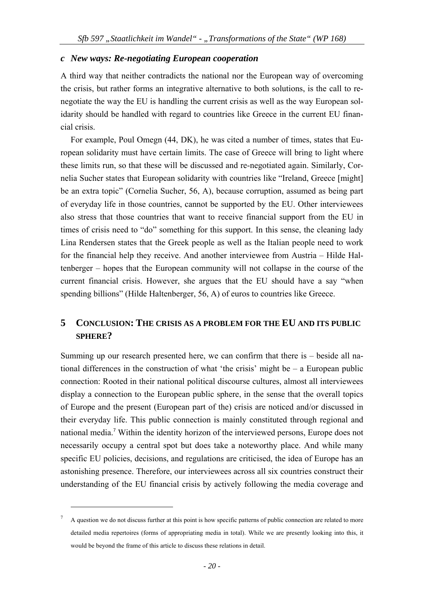## *c New ways: Re-negotiating European cooperation*

A third way that neither contradicts the national nor the European way of overcoming the crisis, but rather forms an integrative alternative to both solutions, is the call to renegotiate the way the EU is handling the current crisis as well as the way European solidarity should be handled with regard to countries like Greece in the current EU financial crisis.

For example, Poul Omegn (44, DK), he was cited a number of times, states that European solidarity must have certain limits. The case of Greece will bring to light where these limits run, so that these will be discussed and re-negotiated again. Similarly, Cornelia Sucher states that European solidarity with countries like "Ireland, Greece might be an extra topic" (Cornelia Sucher, 56, A), because corruption, assumed as being part of everyday life in those countries, cannot be supported by the EU. Other interviewees also stress that those countries that want to receive financial support from the EU in times of crisis need to "do" something for this support. In this sense, the cleaning lady Lina Rendersen states that the Greek people as well as the Italian people need to work for the financial help they receive. And another interviewee from Austria – Hilde Haltenberger – hopes that the European community will not collapse in the course of the current financial crisis. However, she argues that the EU should have a say "when spending billions" (Hilde Haltenberger, 56, A) of euros to countries like Greece.

## **5 CONCLUSION: THE CRISIS AS A PROBLEM FOR THE EU AND ITS PUBLIC SPHERE?**

Summing up our research presented here, we can confirm that there is – beside all national differences in the construction of what 'the crisis' might be – a European public connection: Rooted in their national political discourse cultures, almost all interviewees display a connection to the European public sphere, in the sense that the overall topics of Europe and the present (European part of the) crisis are noticed and/or discussed in their everyday life. This public connection is mainly constituted through regional and national media.<sup>7</sup> Within the identity horizon of the interviewed persons, Europe does not necessarily occupy a central spot but does take a noteworthy place. And while many specific EU policies, decisions, and regulations are criticised, the idea of Europe has an astonishing presence. Therefore, our interviewees across all six countries construct their understanding of the EU financial crisis by actively following the media coverage and

<sup>7</sup> A question we do not discuss further at this point is how specific patterns of public connection are related to more detailed media repertoires (forms of appropriating media in total). While we are presently looking into this, it would be beyond the frame of this article to discuss these relations in detail.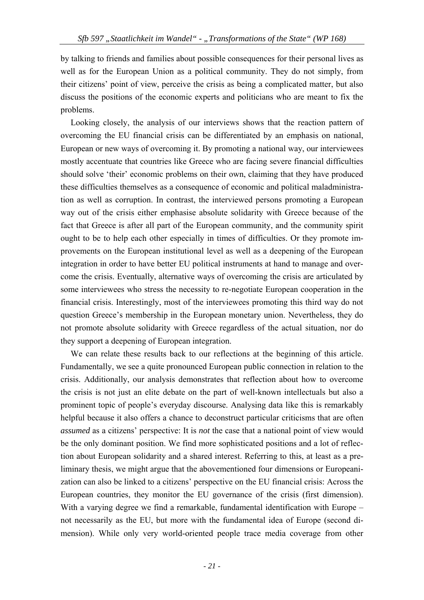by talking to friends and families about possible consequences for their personal lives as well as for the European Union as a political community. They do not simply, from their citizens' point of view, perceive the crisis as being a complicated matter, but also discuss the positions of the economic experts and politicians who are meant to fix the problems.

Looking closely, the analysis of our interviews shows that the reaction pattern of overcoming the EU financial crisis can be differentiated by an emphasis on national, European or new ways of overcoming it. By promoting a national way, our interviewees mostly accentuate that countries like Greece who are facing severe financial difficulties should solve 'their' economic problems on their own, claiming that they have produced these difficulties themselves as a consequence of economic and political maladministration as well as corruption. In contrast, the interviewed persons promoting a European way out of the crisis either emphasise absolute solidarity with Greece because of the fact that Greece is after all part of the European community, and the community spirit ought to be to help each other especially in times of difficulties. Or they promote improvements on the European institutional level as well as a deepening of the European integration in order to have better EU political instruments at hand to manage and overcome the crisis. Eventually, alternative ways of overcoming the crisis are articulated by some interviewees who stress the necessity to re-negotiate European cooperation in the financial crisis. Interestingly, most of the interviewees promoting this third way do not question Greece's membership in the European monetary union. Nevertheless, they do not promote absolute solidarity with Greece regardless of the actual situation, nor do they support a deepening of European integration.

We can relate these results back to our reflections at the beginning of this article. Fundamentally, we see a quite pronounced European public connection in relation to the crisis. Additionally, our analysis demonstrates that reflection about how to overcome the crisis is not just an elite debate on the part of well-known intellectuals but also a prominent topic of people's everyday discourse. Analysing data like this is remarkably helpful because it also offers a chance to deconstruct particular criticisms that are often *assumed* as a citizens' perspective: It is *not* the case that a national point of view would be the only dominant position. We find more sophisticated positions and a lot of reflection about European solidarity and a shared interest. Referring to this, at least as a preliminary thesis, we might argue that the abovementioned four dimensions or Europeanization can also be linked to a citizens' perspective on the EU financial crisis: Across the European countries, they monitor the EU governance of the crisis (first dimension). With a varying degree we find a remarkable, fundamental identification with Europe – not necessarily as the EU, but more with the fundamental idea of Europe (second dimension). While only very world-oriented people trace media coverage from other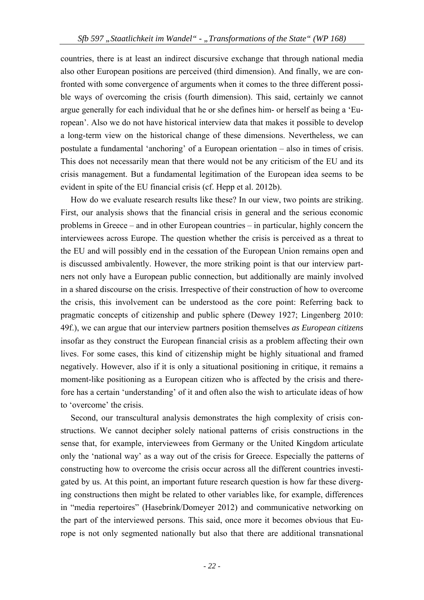countries, there is at least an indirect discursive exchange that through national media also other European positions are perceived (third dimension). And finally, we are confronted with some convergence of arguments when it comes to the three different possible ways of overcoming the crisis (fourth dimension). This said, certainly we cannot argue generally for each individual that he or she defines him- or herself as being a 'European'. Also we do not have historical interview data that makes it possible to develop a long-term view on the historical change of these dimensions. Nevertheless, we can postulate a fundamental 'anchoring' of a European orientation – also in times of crisis. This does not necessarily mean that there would not be any criticism of the EU and its crisis management. But a fundamental legitimation of the European idea seems to be evident in spite of the EU financial crisis (cf. Hepp et al. 2012b).

How do we evaluate research results like these? In our view, two points are striking. First, our analysis shows that the financial crisis in general and the serious economic problems in Greece – and in other European countries – in particular, highly concern the interviewees across Europe. The question whether the crisis is perceived as a threat to the EU and will possibly end in the cessation of the European Union remains open and is discussed ambivalently. However, the more striking point is that our interview partners not only have a European public connection, but additionally are mainly involved in a shared discourse on the crisis. Irrespective of their construction of how to overcome the crisis, this involvement can be understood as the core point: Referring back to pragmatic concepts of citizenship and public sphere (Dewey 1927; Lingenberg 2010: 49f.), we can argue that our interview partners position themselves *as European citizens* insofar as they construct the European financial crisis as a problem affecting their own lives. For some cases, this kind of citizenship might be highly situational and framed negatively. However, also if it is only a situational positioning in critique, it remains a moment-like positioning as a European citizen who is affected by the crisis and therefore has a certain 'understanding' of it and often also the wish to articulate ideas of how to 'overcome' the crisis.

Second, our transcultural analysis demonstrates the high complexity of crisis constructions. We cannot decipher solely national patterns of crisis constructions in the sense that, for example, interviewees from Germany or the United Kingdom articulate only the 'national way' as a way out of the crisis for Greece. Especially the patterns of constructing how to overcome the crisis occur across all the different countries investigated by us. At this point, an important future research question is how far these diverging constructions then might be related to other variables like, for example, differences in "media repertoires" (Hasebrink/Domeyer 2012) and communicative networking on the part of the interviewed persons. This said, once more it becomes obvious that Europe is not only segmented nationally but also that there are additional transnational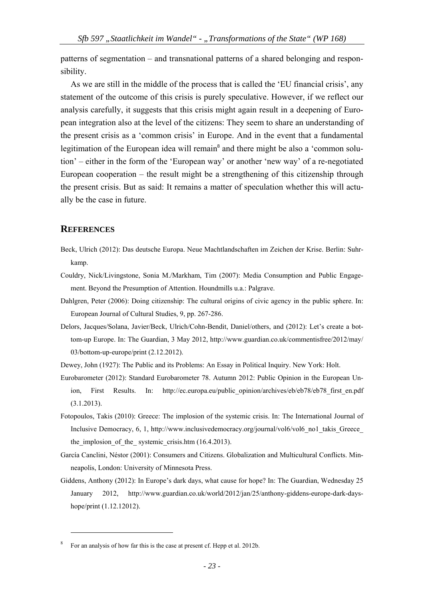patterns of segmentation – and transnational patterns of a shared belonging and responsibility.

As we are still in the middle of the process that is called the 'EU financial crisis', any statement of the outcome of this crisis is purely speculative. However, if we reflect our analysis carefully, it suggests that this crisis might again result in a deepening of European integration also at the level of the citizens: They seem to share an understanding of the present crisis as a 'common crisis' in Europe. And in the event that a fundamental legitimation of the European idea will remain<sup>8</sup> and there might be also a 'common solution' – either in the form of the 'European way' or another 'new way' of a re-negotiated European cooperation – the result might be a strengthening of this citizenship through the present crisis. But as said: It remains a matter of speculation whether this will actually be the case in future.

### **REFERENCES**

- Beck, Ulrich (2012): Das deutsche Europa. Neue Machtlandschaften im Zeichen der Krise. Berlin: Suhrkamp.
- Couldry, Nick/Livingstone, Sonia M./Markham, Tim (2007): Media Consumption and Public Engagement. Beyond the Presumption of Attention. Houndmills u.a.: Palgrave.
- Dahlgren, Peter (2006): Doing citizenship: The cultural origins of civic agency in the public sphere. In: European Journal of Cultural Studies, 9, pp. 267-286.
- Delors, Jacques/Solana, Javier/Beck, Ulrich/Cohn-Bendit, Daniel/others, and (2012): Let's create a bottom-up Europe. In: The Guardian, 3 May 2012, http://www.guardian.co.uk/commentisfree/2012/may/ 03/bottom-up-europe/print (2.12.2012).
- Dewey, John (1927): The Public and its Problems: An Essay in Political Inquiry. New York: Holt.
- Eurobarometer (2012): Standard Eurobarometer 78. Autumn 2012: Public Opinion in the European Union, First Results. In: http://ec.europa.eu/public\_opinion/archives/eb/eb78/eb78\_first\_en.pdf (3.1.2013).
- Fotopoulos, Takis (2010): Greece: The implosion of the systemic crisis. In: The International Journal of Inclusive Democracy, 6, 1, http://www.inclusivedemocracy.org/journal/vol6/vol6\_no1\_takis\_Greece\_ the implosion of the systemic crisis.htm  $(16.4.2013)$ .
- García Canclini, Néstor (2001): Consumers and Citizens. Globalization and Multicultural Conflicts. Minneapolis, London: University of Minnesota Press.
- Giddens, Anthony (2012): In Europe's dark days, what cause for hope? In: The Guardian, Wednesday 25 January 2012, http://www.guardian.co.uk/world/2012/jan/25/anthony-giddens-europe-dark-dayshope/print (1.12.12012).

<sup>8</sup> For an analysis of how far this is the case at present cf. Hepp et al. 2012b.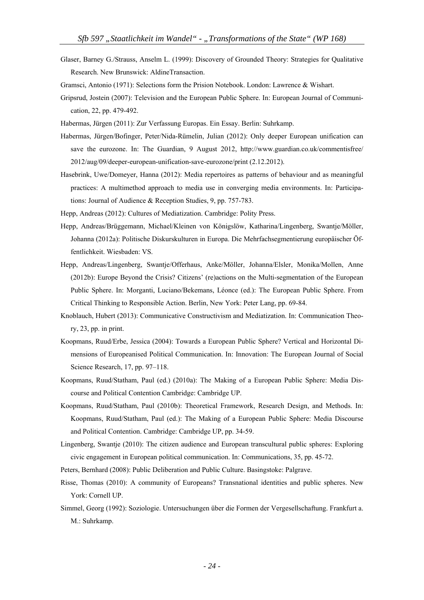- Glaser, Barney G./Strauss, Anselm L. (1999): Discovery of Grounded Theory: Strategies for Qualitative Research. New Brunswick: AldineTransaction.
- Gramsci, Antonio (1971): Selections form the Prision Notebook. London: Lawrence & Wishart.
- Gripsrud, Jostein (2007): Television and the European Public Sphere. In: European Journal of Communication, 22, pp. 479-492.
- Habermas, Jürgen (2011): Zur Verfassung Europas. Ein Essay. Berlin: Suhrkamp.
- Habermas, Jürgen/Bofinger, Peter/Nida-Rümelin, Julian (2012): Only deeper European unification can save the eurozone. In: The Guardian, 9 August 2012, http://www.guardian.co.uk/commentisfree/ 2012/aug/09/deeper-european-unification-save-eurozone/print (2.12.2012).
- Hasebrink, Uwe/Domeyer, Hanna (2012): Media repertoires as patterns of behaviour and as meaningful practices: A multimethod approach to media use in converging media environments. In: Participations: Journal of Audience & Reception Studies, 9, pp. 757-783.
- Hepp, Andreas (2012): Cultures of Mediatization. Cambridge: Polity Press.
- Hepp, Andreas/Brüggemann, Michael/Kleinen von Königslöw, Katharina/Lingenberg, Swantje/Möller, Johanna (2012a): Politische Diskurskulturen in Europa. Die Mehrfachsegmentierung europäischer Öffentlichkeit. Wiesbaden: VS.
- Hepp, Andreas/Lingenberg, Swantje/Offerhaus, Anke/Möller, Johanna/Elsler, Monika/Mollen, Anne (2012b): Europe Beyond the Crisis? Citizens' (re)actions on the Multi-segmentation of the European Public Sphere. In: Morganti, Luciano/Bekemans, Léonce (ed.): The European Public Sphere. From Critical Thinking to Responsible Action. Berlin, New York: Peter Lang, pp. 69-84.
- Knoblauch, Hubert (2013): Communicative Constructivism and Mediatization. In: Communication Theory, 23, pp. in print.
- Koopmans, Ruud/Erbe, Jessica (2004): Towards a European Public Sphere? Vertical and Horizontal Dimensions of Europeanised Political Communication. In: Innovation: The European Journal of Social Science Research, 17, pp. 97–118.
- Koopmans, Ruud/Statham, Paul (ed.) (2010a): The Making of a European Public Sphere: Media Discourse and Political Contention Cambridge: Cambridge UP.
- Koopmans, Ruud/Statham, Paul (2010b): Theoretical Framework, Research Design, and Methods. In: Koopmans, Ruud/Statham, Paul (ed.): The Making of a European Public Sphere: Media Discourse and Political Contention. Cambridge: Cambridge UP, pp. 34-59.
- Lingenberg, Swantje (2010): The citizen audience and European transcultural public spheres: Exploring civic engagement in European political communication. In: Communications, 35, pp. 45-72.
- Peters, Bernhard (2008): Public Deliberation and Public Culture. Basingstoke: Palgrave.
- Risse, Thomas (2010): A community of Europeans? Transnational identities and public spheres. New York: Cornell UP.
- Simmel, Georg (1992): Soziologie. Untersuchungen über die Formen der Vergesellschaftung. Frankfurt a. M.: Suhrkamp.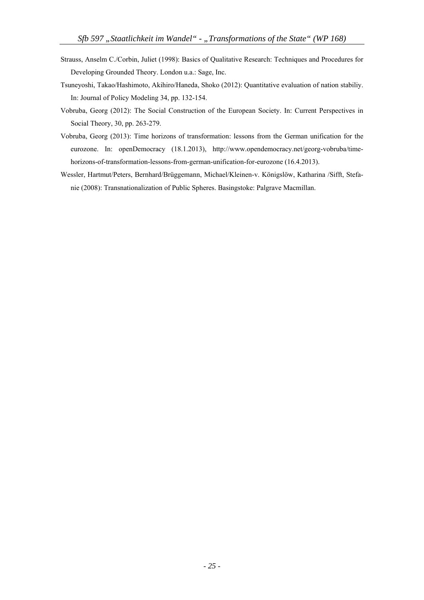- Strauss, Anselm C./Corbin, Juliet (1998): Basics of Qualitative Research: Techniques and Procedures for Developing Grounded Theory. London u.a.: Sage, Inc.
- Tsuneyoshi, Takao/Hashimoto, Akihiro/Haneda, Shoko (2012): Quantitative evaluation of nation stabiliy. In: Journal of Policy Modeling 34, pp. 132-154.
- Vobruba, Georg (2012): The Social Construction of the European Society. In: Current Perspectives in Social Theory, 30, pp. 263-279.
- Vobruba, Georg (2013): Time horizons of transformation: lessons from the German unification for the eurozone. In: openDemocracy (18.1.2013), http://www.opendemocracy.net/georg-vobruba/timehorizons-of-transformation-lessons-from-german-unification-for-eurozone (16.4.2013).
- Wessler, Hartmut/Peters, Bernhard/Brüggemann, Michael/Kleinen-v. Königslöw, Katharina /Sifft, Stefanie (2008): Transnationalization of Public Spheres. Basingstoke: Palgrave Macmillan.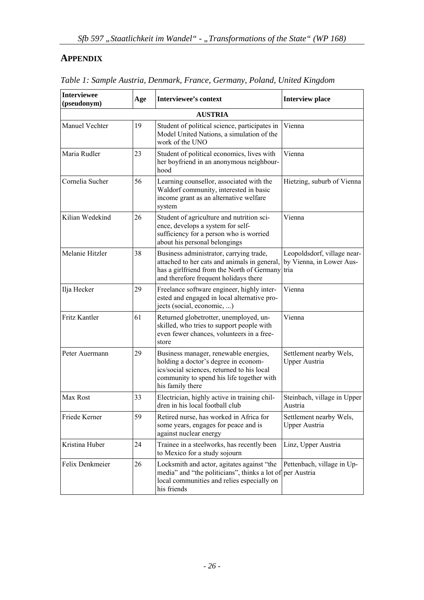## **APPENDIX**

| <b>Interviewee</b><br>(pseudonym) | Age | Interviewee's context                                                                                                                                                                        | <b>Interview place</b>                                          |
|-----------------------------------|-----|----------------------------------------------------------------------------------------------------------------------------------------------------------------------------------------------|-----------------------------------------------------------------|
|                                   |     | <b>AUSTRIA</b>                                                                                                                                                                               |                                                                 |
| Manuel Vechter                    | 19  | Student of political science, participates in<br>Model United Nations, a simulation of the<br>work of the UNO                                                                                | Vienna                                                          |
| Maria Rudler                      | 23  | Student of political economics, lives with<br>her boyfriend in an anonymous neighbour-<br>hood                                                                                               | Vienna                                                          |
| Cornelia Sucher                   | 56  | Learning counsellor, associated with the<br>Waldorf community, interested in basic<br>income grant as an alternative welfare<br>system                                                       | Hietzing, suburb of Vienna                                      |
| Kilian Wedekind                   | 26  | Student of agriculture and nutrition sci-<br>ence, develops a system for self-<br>sufficiency for a person who is worried<br>about his personal belongings                                   | Vienna                                                          |
| Melanie Hitzler                   | 38  | Business administrator, carrying trade,<br>attached to her cats and animals in general,<br>has a girlfriend from the North of Germany<br>and therefore frequent holidays there               | Leopoldsdorf, village near-<br>by Vienna, in Lower Aus-<br>tria |
| Ilja Hecker                       | 29  | Freelance software engineer, highly inter-<br>ested and engaged in local alternative pro-<br>jects (social, economic, )                                                                      | Vienna                                                          |
| Fritz Kantler                     | 61  | Returned globetrotter, unemployed, un-<br>skilled, who tries to support people with<br>even fewer chances, volunteers in a free-<br>store                                                    | Vienna                                                          |
| Peter Auermann                    | 29  | Business manager, renewable energies,<br>holding a doctor's degree in econom-<br>ics/social sciences, returned to his local<br>community to spend his life together with<br>his family there | Settlement nearby Wels,<br><b>Upper Austria</b>                 |
| Max Rost                          | 33  | Electrician, highly active in training chil-<br>dren in his local football club                                                                                                              | Steinbach, village in Upper<br>Austria                          |
| Friede Kerner                     | 59  | Retired nurse, has worked in Africa for<br>some years, engages for peace and is<br>against nuclear energy                                                                                    | Settlement nearby Wels,<br><b>Upper Austria</b>                 |
| Kristina Huber                    | 24  | Trainee in a steelworks, has recently been<br>to Mexico for a study sojourn                                                                                                                  | Linz, Upper Austria                                             |
| Felix Denkmeier                   | 26  | Locksmith and actor, agitates against "the<br>media" and "the politicians", thinks a lot of per Austria<br>local communities and relies especially on<br>his friends                         | Pettenbach, village in Up-                                      |

*Table 1: Sample Austria, Denmark, France, Germany, Poland, United Kingdom*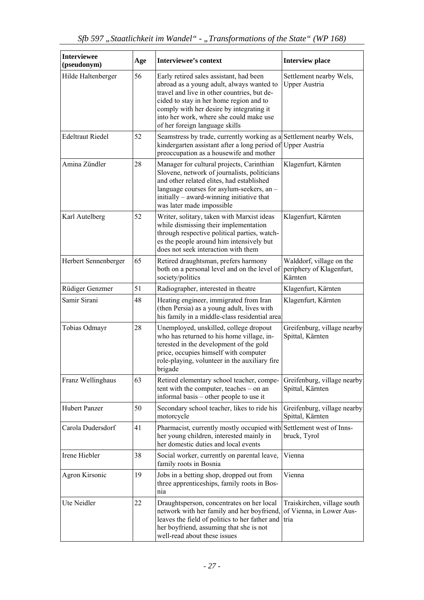| <b>Interviewee</b><br>(pseudonym) | Age | <b>Interviewee's context</b>                                                                                                                                                                                                                                                                            | <b>Interview place</b>                                          |
|-----------------------------------|-----|---------------------------------------------------------------------------------------------------------------------------------------------------------------------------------------------------------------------------------------------------------------------------------------------------------|-----------------------------------------------------------------|
| Hilde Haltenberger                | 56  | Early retired sales assistant, had been<br>abroad as a young adult, always wanted to<br>travel and live in other countries, but de-<br>cided to stay in her home region and to<br>comply with her desire by integrating it<br>into her work, where she could make use<br>of her foreign language skills | Settlement nearby Wels,<br><b>Upper Austria</b>                 |
| <b>Edeltraut Riedel</b>           | 52  | Seamstress by trade, currently working as a Settlement nearby Wels,<br>kindergarten assistant after a long period of Upper Austria<br>preoccupation as a housewife and mother                                                                                                                           |                                                                 |
| Amina Zündler                     | 28  | Manager for cultural projects, Carinthian<br>Slovene, network of journalists, politicians<br>and other related elites, had established<br>language courses for asylum-seekers, an -<br>initially – award-winning initiative that<br>was later made impossible                                           | Klagenfurt, Kärnten                                             |
| Karl Autelberg                    | 52  | Writer, solitary, taken with Marxist ideas<br>while dismissing their implementation<br>through respective political parties, watch-<br>es the people around him intensively but<br>does not seek interaction with them                                                                                  | Klagenfurt, Kärnten                                             |
| Herbert Sennenberger              | 65  | Retired draughtsman, prefers harmony<br>both on a personal level and on the level of<br>society/politics                                                                                                                                                                                                | Walddorf, village on the<br>periphery of Klagenfurt,<br>Kärnten |
| Rüdiger Genzmer                   | 51  | Radiographer, interested in theatre                                                                                                                                                                                                                                                                     | Klagenfurt, Kärnten                                             |
| Samir Sirani                      | 48  | Heating engineer, immigrated from Iran<br>(then Persia) as a young adult, lives with<br>his family in a middle-class residential area                                                                                                                                                                   | Klagenfurt, Kärnten                                             |
| Tobias Odmayr                     | 28  | Unemployed, unskilled, college dropout<br>who has returned to his home village, in-<br>terested in the development of the gold<br>price, occupies himself with computer<br>role-playing, volunteer in the auxiliary fire<br>brigade                                                                     | Greifenburg, village nearby<br>Spittal, Kärnten                 |
| Franz Wellinghaus                 | 63  | Retired elementary school teacher, compe-<br>tent with the computer, teaches – on an<br>informal basis – other people to use it                                                                                                                                                                         | Greifenburg, village nearby<br>Spittal, Kärnten                 |
| <b>Hubert Panzer</b>              | 50  | Secondary school teacher, likes to ride his<br>motorcycle                                                                                                                                                                                                                                               | Greifenburg, village nearby<br>Spittal, Kärnten                 |
| Carola Dudersdorf                 | 41  | Pharmacist, currently mostly occupied with Settlement west of Inns-<br>her young children, interested mainly in<br>her domestic duties and local events                                                                                                                                                 | bruck, Tyrol                                                    |
| Irene Hiebler                     | 38  | Social worker, currently on parental leave,<br>family roots in Bosnia                                                                                                                                                                                                                                   | Vienna                                                          |
| Agron Kirsonic                    | 19  | Jobs in a betting shop, dropped out from<br>three apprenticeships, family roots in Bos-<br>nia                                                                                                                                                                                                          | Vienna                                                          |
| Ute Neidler                       | 22  | Draughtsperson, concentrates on her local<br>network with her family and her boyfriend,<br>leaves the field of politics to her father and<br>her boyfriend, assuming that she is not<br>well-read about these issues                                                                                    | Traiskirchen, village south<br>of Vienna, in Lower Aus-<br>tria |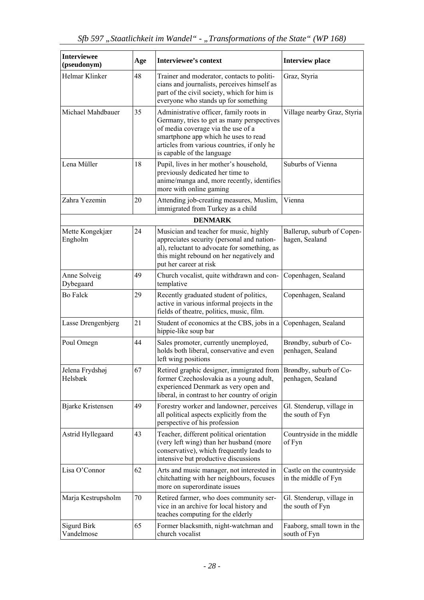| <b>Interviewee</b><br>(pseudonym) | Age | <b>Interviewee's context</b>                                                                                                                                                                                                                     | <b>Interview place</b>                            |
|-----------------------------------|-----|--------------------------------------------------------------------------------------------------------------------------------------------------------------------------------------------------------------------------------------------------|---------------------------------------------------|
| Helmar Klinker                    | 48  | Trainer and moderator, contacts to politi-<br>cians and journalists, perceives himself as<br>part of the civil society, which for him is<br>everyone who stands up for something                                                                 | Graz, Styria                                      |
| Michael Mahdbauer                 | 35  | Administrative officer, family roots in<br>Germany, tries to get as many perspectives<br>of media coverage via the use of a<br>smartphone app which he uses to read<br>articles from various countries, if only he<br>is capable of the language | Village nearby Graz, Styria                       |
| Lena Müller                       | 18  | Pupil, lives in her mother's household,<br>previously dedicated her time to<br>anime/manga and, more recently, identifies<br>more with online gaming                                                                                             | Suburbs of Vienna                                 |
| Zahra Yezemin                     | 20  | Attending job-creating measures, Muslim,<br>immigrated from Turkey as a child                                                                                                                                                                    | Vienna                                            |
|                                   |     | <b>DENMARK</b>                                                                                                                                                                                                                                   |                                                   |
| Mette Kongekjær<br>Engholm        | 24  | Musician and teacher for music, highly<br>appreciates security (personal and nation-<br>al), reluctant to advocate for something, as<br>this might rebound on her negatively and<br>put her career at risk                                       | Ballerup, suburb of Copen-<br>hagen, Sealand      |
| Anne Solveig<br>Dybegaard         | 49  | Church vocalist, quite withdrawn and con-<br>templative                                                                                                                                                                                          | Copenhagen, Sealand                               |
| <b>Bo Falck</b>                   | 29  | Recently graduated student of politics,<br>active in various informal projects in the<br>fields of theatre, politics, music, film.                                                                                                               | Copenhagen, Sealand                               |
| Lasse Drengenbjerg                | 21  | Student of economics at the CBS, jobs in a<br>hippie-like soup bar                                                                                                                                                                               | Copenhagen, Sealand                               |
| Poul Omegn                        | 44  | Sales promoter, currently unemployed,<br>holds both liberal, conservative and even<br>left wing positions                                                                                                                                        | Brøndby, suburb of Co-<br>penhagen, Sealand       |
| Jelena Frydshøj<br>Helsbæk        | 67  | Retired graphic designer, immigrated from<br>former Czechoslovakia as a young adult,<br>experienced Denmark as very open and<br>liberal, in contrast to her country of origin                                                                    | Brøndby, suburb of Co-<br>penhagen, Sealand       |
| <b>Bjarke Kristensen</b>          | 49  | Forestry worker and landowner, perceives<br>all political aspects explicitly from the<br>perspective of his profession                                                                                                                           | Gl. Stenderup, village in<br>the south of Fyn     |
| Astrid Hyllegaard                 | 43  | Teacher, different political orientation<br>(very left wing) than her husband (more<br>conservative), which frequently leads to<br>intensive but productive discussions                                                                          | Countryside in the middle<br>of Fyn               |
| Lisa O'Connor                     | 62  | Arts and music manager, not interested in<br>chitchatting with her neighbours, focuses<br>more on superordinate issues                                                                                                                           | Castle on the countryside<br>in the middle of Fyn |
| Marja Kestrupsholm                | 70  | Retired farmer, who does community ser-<br>vice in an archive for local history and<br>teaches computing for the elderly                                                                                                                         | Gl. Stenderup, village in<br>the south of Fyn     |
| Sigurd Birk<br>Vandelmose         | 65  | Former blacksmith, night-watchman and<br>church vocalist                                                                                                                                                                                         | Faaborg, small town in the<br>south of Fyn        |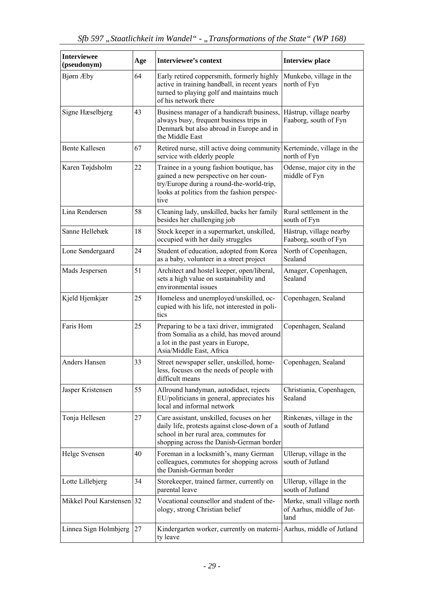| <b>Interviewee</b><br>(pseudonym) | Age | <b>Interviewee's context</b>                                                                                                                                                          | <b>Interview place</b>                                          |
|-----------------------------------|-----|---------------------------------------------------------------------------------------------------------------------------------------------------------------------------------------|-----------------------------------------------------------------|
| Bjørn Æby                         | 64  | Early retired coppersmith, formerly highly<br>active in training handball, in recent years<br>turned to playing golf and maintains much<br>of his network there                       | Munkebo, village in the<br>north of Fyn                         |
| Signe Hæselbjerg                  | 43  | Business manager of a handicraft business,<br>always busy, frequent business trips in<br>Denmark but also abroad in Europe and in<br>the Middle East                                  | Håstrup, village nearby<br>Faaborg, south of Fyn                |
| <b>Bente Kallesen</b>             | 67  | Retired nurse, still active doing community<br>service with elderly people                                                                                                            | Kerteminde, village in the<br>north of Fyn                      |
| Karen Tøjdsholm                   | 22  | Trainee in a young fashion boutique, has<br>gained a new perspective on her coun-<br>try/Europe during a round-the-world-trip,<br>looks at politics from the fashion perspec-<br>tive | Odense, major city in the<br>middle of Fyn                      |
| Lina Rendersen                    | 58  | Cleaning lady, unskilled, backs her family<br>besides her challenging job                                                                                                             | Rural settlement in the<br>south of Fyn                         |
| Sanne Hellebæk                    | 18  | Stock keeper in a supermarket, unskilled,<br>occupied with her daily struggles                                                                                                        | Håstrup, village nearby<br>Faaborg, south of Fyn                |
| Lone Søndergaard                  | 24  | Student of education, adopted from Korea<br>as a baby, volunteer in a street project                                                                                                  | North of Copenhagen,<br>Sealand                                 |
| Mads Jespersen                    | 51  | Architect and hostel keeper, open/liberal,<br>sets a high value on sustainability and<br>environmental issues                                                                         | Amager, Copenhagen,<br>Sealand                                  |
| Kjeld Hjemkjær                    | 25  | Homeless and unemployed/unskilled, oc-<br>cupied with his life, not interested in poli-<br>tics                                                                                       | Copenhagen, Sealand                                             |
| Faris Hom                         | 25  | Preparing to be a taxi driver, immigrated<br>from Somalia as a child, has moved around<br>a lot in the past years in Europe,<br>Asia/Middle East, Africa                              | Copenhagen, Sealand                                             |
| Anders Hansen                     | 33  | Street newspaper seller, unskilled, home-<br>less, focuses on the needs of people with<br>difficult means                                                                             | Copenhagen, Sealand                                             |
| Jasper Kristensen                 | 55  | Allround handyman, autodidact, rejects<br>EU/politicians in general, appreciates his<br>local and informal network                                                                    | Christiania, Copenhagen,<br>Sealand                             |
| Tonja Hellesen                    | 27  | Care assistant, unskilled, focuses on her<br>daily life, protests against close-down of a<br>school in her rural area, commutes for<br>shopping across the Danish-German border       | Rinkenæs, village in the<br>south of Jutland                    |
| Helge Svensen                     | 40  | Foreman in a locksmith's, many German<br>colleagues, commutes for shopping across<br>the Danish-German border                                                                         | Ullerup, village in the<br>south of Jutland                     |
| Lotte Lillebjerg                  | 34  | Storekeeper, trained farmer, currently on<br>parental leave                                                                                                                           | Ullerup, village in the<br>south of Jutland                     |
| Mikkel Poul Karstensen 32         |     | Vocational counsellor and student of the-<br>ology, strong Christian belief                                                                                                           | Mørke, small village north<br>of Aarhus, middle of Jut-<br>land |
| Linnea Sign Holmbjerg             | 27  | Kindergarten worker, currently on materni- Aarhus, middle of Jutland<br>ty leave                                                                                                      |                                                                 |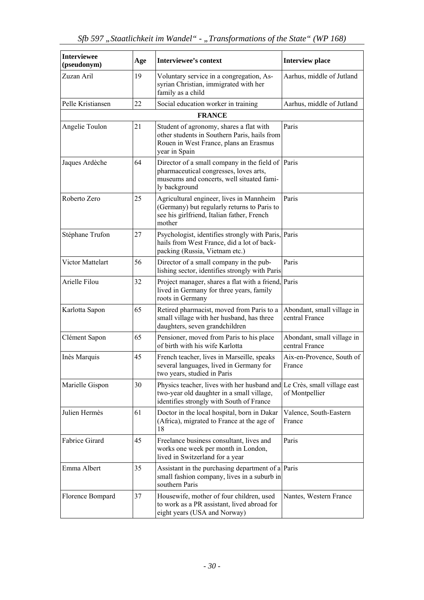| <b>Interviewee</b><br>(pseudonym) | Age | <b>Interviewee's context</b>                                                                                                                                     | <b>Interview place</b>                       |
|-----------------------------------|-----|------------------------------------------------------------------------------------------------------------------------------------------------------------------|----------------------------------------------|
| Zuzan Aril                        | 19  | Voluntary service in a congregation, As-<br>syrian Christian, immigrated with her<br>family as a child                                                           | Aarhus, middle of Jutland                    |
| Pelle Kristiansen                 | 22  | Social education worker in training                                                                                                                              | Aarhus, middle of Jutland                    |
|                                   |     | <b>FRANCE</b>                                                                                                                                                    |                                              |
| Angelie Toulon                    | 21  | Student of agronomy, shares a flat with<br>other students in Southern Paris, hails from<br>Rouen in West France, plans an Erasmus<br>year in Spain               | Paris                                        |
| Jaques Ardèche                    | 64  | Director of a small company in the field of Paris<br>pharmaceutical congresses, loves arts,<br>museums and concerts, well situated fami-<br>ly background        |                                              |
| Roberto Zero                      | 25  | Agricultural engineer, lives in Mannheim<br>(Germany) but regularly returns to Paris to<br>see his girlfriend, Italian father, French<br>mother                  | Paris                                        |
| Stéphane Trufon                   | 27  | Psychologist, identifies strongly with Paris, Paris<br>hails from West France, did a lot of back-<br>packing (Russia, Vietnam etc.)                              |                                              |
| Victor Mattelart                  | 56  | Director of a small company in the pub-<br>lishing sector, identifies strongly with Paris                                                                        | Paris                                        |
| Arielle Filou                     | 32  | Project manager, shares a flat with a friend, Paris<br>lived in Germany for three years, family<br>roots in Germany                                              |                                              |
| Karlotta Sapon                    | 65  | Retired pharmacist, moved from Paris to a<br>small village with her husband, has three<br>daughters, seven grandchildren                                         | Abondant, small village in<br>central France |
| Clément Sapon                     | 65  | Pensioner, moved from Paris to his place<br>of birth with his wife Karlotta                                                                                      | Abondant, small village in<br>central France |
| Inès Marquis                      | 45  | French teacher, lives in Marseille, speaks<br>several languages, lived in Germany for<br>two years, studied in Paris                                             | Aix-en-Provence, South of<br>France          |
| Marielle Gispon                   | 30  | Physics teacher, lives with her husband and Le Crès, small village east<br>two-year old daughter in a small village,<br>identifies strongly with South of France | of Montpellier                               |
| Julien Hermès                     | 61  | Doctor in the local hospital, born in Dakar<br>(Africa), migrated to France at the age of<br>18                                                                  | Valence, South-Eastern<br>France             |
| Fabrice Girard                    | 45  | Freelance business consultant, lives and<br>works one week per month in London,<br>lived in Switzerland for a year                                               | Paris                                        |
| Emma Albert                       | 35  | Assistant in the purchasing department of a Paris<br>small fashion company, lives in a suburb in<br>southern Paris                                               |                                              |
| Florence Bompard                  | 37  | Housewife, mother of four children, used<br>to work as a PR assistant, lived abroad for<br>eight years (USA and Norway)                                          | Nantes, Western France                       |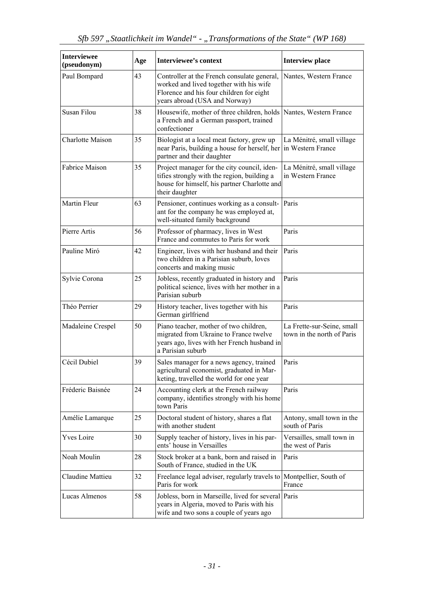| <b>Interviewee</b><br>(pseudonym) | Age | <b>Interviewee's context</b>                                                                                                                                        | <b>Interview place</b>                                   |
|-----------------------------------|-----|---------------------------------------------------------------------------------------------------------------------------------------------------------------------|----------------------------------------------------------|
| Paul Bompard                      | 43  | Controller at the French consulate general,<br>worked and lived together with his wife<br>Florence and his four children for eight<br>years abroad (USA and Norway) | Nantes, Western France                                   |
| Susan Filou                       | 38  | Housewife, mother of three children, holds<br>a French and a German passport, trained<br>confectioner                                                               | Nantes, Western France                                   |
| <b>Charlotte Maison</b>           | 35  | Biologist at a local meat factory, grew up<br>near Paris, building a house for herself, her<br>partner and their daughter                                           | La Ménitré, small village<br>in Western France           |
| Fabrice Maison                    | 35  | Project manager for the city council, iden-<br>tifies strongly with the region, building a<br>house for himself, his partner Charlotte and<br>their daughter        | La Ménitré, small village<br>in Western France           |
| Martin Fleur                      | 63  | Pensioner, continues working as a consult-<br>ant for the company he was employed at,<br>well-situated family background                                            | Paris                                                    |
| Pierre Artis                      | 56  | Professor of pharmacy, lives in West<br>France and commutes to Paris for work                                                                                       | Paris                                                    |
| Pauline Miró                      | 42  | Engineer, lives with her husband and their<br>two children in a Parisian suburb, loves<br>concerts and making music                                                 | Paris                                                    |
| Sylvie Corona                     | 25  | Jobless, recently graduated in history and<br>political science, lives with her mother in a<br>Parisian suburb                                                      | Paris                                                    |
| Théo Perrier                      | 29  | History teacher, lives together with his<br>German girlfriend                                                                                                       | Paris                                                    |
| Madaleine Crespel                 | 50  | Piano teacher, mother of two children,<br>migrated from Ukraine to France twelve<br>years ago, lives with her French husband in<br>a Parisian suburb                | La Frette-sur-Seine, small<br>town in the north of Paris |
| Cécil Dubiel                      | 39  | Sales manager for a news agency, trained<br>agricultural economist, graduated in Mar-<br>keting, travelled the world for one year                                   | Paris                                                    |
| Fréderic Baisnée                  | 24  | Accounting clerk at the French railway<br>company, identifies strongly with his home<br>town Paris                                                                  | Paris                                                    |
| Amélie Lamarque                   | 25  | Doctoral student of history, shares a flat<br>with another student                                                                                                  | Antony, small town in the<br>south of Paris              |
| <b>Yves Loire</b>                 | 30  | Supply teacher of history, lives in his par-<br>ents' house in Versailles                                                                                           | Versailles, small town in<br>the west of Paris           |
| Noah Moulin                       | 28  | Stock broker at a bank, born and raised in<br>South of France, studied in the UK                                                                                    | Paris                                                    |
| Claudine Mattieu                  | 32  | Freelance legal adviser, regularly travels to<br>Paris for work                                                                                                     | Montpellier, South of<br>France                          |
| Lucas Almenos                     | 58  | Jobless, born in Marseille, lived for several Paris<br>years in Algeria, moved to Paris with his<br>wife and two sons a couple of years ago                         |                                                          |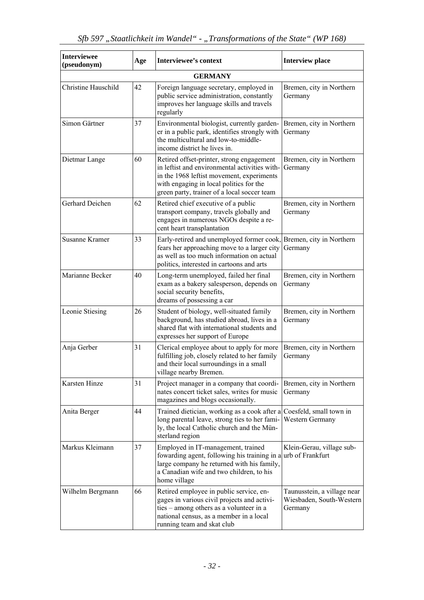| <b>Interviewee</b><br>(pseudonym) | Age | <b>Interviewee's context</b>                                                                                                                                                                                                      | <b>Interview place</b>                                             |
|-----------------------------------|-----|-----------------------------------------------------------------------------------------------------------------------------------------------------------------------------------------------------------------------------------|--------------------------------------------------------------------|
|                                   |     | <b>GERMANY</b>                                                                                                                                                                                                                    |                                                                    |
| <b>Christine Hauschild</b>        | 42  | Foreign language secretary, employed in<br>public service administration, constantly<br>improves her language skills and travels<br>regularly                                                                                     | Bremen, city in Northern<br>Germany                                |
| Simon Gärtner                     | 37  | Environmental biologist, currently garden-<br>er in a public park, identifies strongly with<br>the multicultural and low-to-middle-<br>income district he lives in.                                                               | Bremen, city in Northern<br>Germany                                |
| Dietmar Lange                     | 60  | Retired offset-printer, strong engagement<br>in leftist and environmental activities with-<br>in the 1968 leftist movement, experiments<br>with engaging in local politics for the<br>green party, trainer of a local soccer team | Bremen, city in Northern<br>Germany                                |
| Gerhard Deichen                   | 62  | Retired chief executive of a public<br>transport company, travels globally and<br>engages in numerous NGOs despite a re-<br>cent heart transplantation                                                                            | Bremen, city in Northern<br>Germany                                |
| <b>Susanne Kramer</b>             | 33  | Early-retired and unemployed former cook,<br>fears her approaching move to a larger city<br>as well as too much information on actual<br>politics, interested in cartoons and arts                                                | Bremen, city in Northern<br>Germany                                |
| Marianne Becker                   | 40  | Long-term unemployed, failed her final<br>exam as a bakery salesperson, depends on<br>social security benefits,<br>dreams of possessing a car                                                                                     | Bremen, city in Northern<br>Germany                                |
| Leonie Stiesing                   | 26  | Student of biology, well-situated family<br>background, has studied abroad, lives in a<br>shared flat with international students and<br>expresses her support of Europe                                                          | Bremen, city in Northern<br>Germany                                |
| Anja Gerber                       | 31  | Clerical employee about to apply for more<br>fulfilling job, closely related to her family<br>and their local surroundings in a small<br>village nearby Bremen.                                                                   | Bremen, city in Northern<br>Germany                                |
| Karsten Hinze                     | 31  | Project manager in a company that coordi-<br>nates concert ticket sales, writes for music<br>magazines and blogs occasionally.                                                                                                    | Bremen, city in Northern<br>Germany                                |
| Anita Berger                      | 44  | Trained dietician, working as a cook after a Coesfeld, small town in<br>long parental leave, strong ties to her fami-<br>ly, the local Catholic church and the Mün-<br>sterland region                                            | Western Germany                                                    |
| Markus Kleimann                   | 37  | Employed in IT-management, trained<br>fowarding agent, following his training in a urb of Frankfurt<br>large company he returned with his family,<br>a Canadian wife and two children, to his<br>home village                     | Klein-Gerau, village sub-                                          |
| Wilhelm Bergmann                  | 66  | Retired employee in public service, en-<br>gages in various civil projects and activi-<br>ties – among others as a volunteer in a<br>national census, as a member in a local<br>running team and skat club                        | Taunusstein, a village near<br>Wiesbaden, South-Western<br>Germany |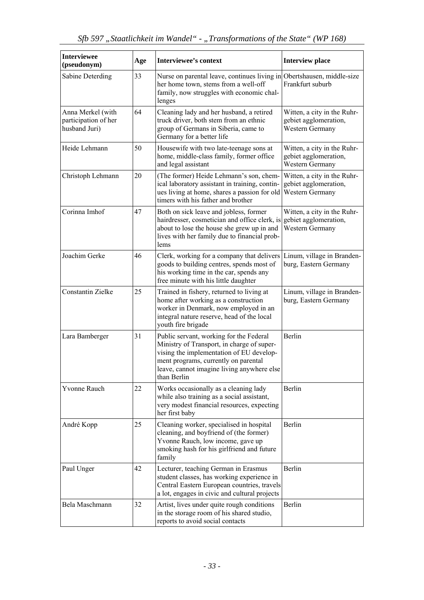| <b>Interviewee</b><br>(pseudonym)                          | Age | <b>Interviewee's context</b>                                                                                                                                                                                                           | <b>Interview place</b>                                                         |
|------------------------------------------------------------|-----|----------------------------------------------------------------------------------------------------------------------------------------------------------------------------------------------------------------------------------------|--------------------------------------------------------------------------------|
| Sabine Deterding                                           | 33  | Nurse on parental leave, continues living in Obertshausen, middle-size<br>her home town, stems from a well-off<br>family, now struggles with economic chal-<br>lenges                                                                  | Frankfurt suburb                                                               |
| Anna Merkel (with<br>participation of her<br>husband Juri) | 64  | Cleaning lady and her husband, a retired<br>truck driver, both stem from an ethnic<br>group of Germans in Siberia, came to<br>Germany for a better life                                                                                | Witten, a city in the Ruhr-<br>gebiet agglomeration,<br><b>Western Germany</b> |
| Heide Lehmann                                              | 50  | Housewife with two late-teenage sons at<br>home, middle-class family, former office<br>and legal assistant                                                                                                                             | Witten, a city in the Ruhr-<br>gebiet agglomeration,<br>Western Germany        |
| Christoph Lehmann                                          | 20  | (The former) Heide Lehmann's son, chem-<br>ical laboratory assistant in training, contin-<br>ues living at home, shares a passion for old<br>timers with his father and brother                                                        | Witten, a city in the Ruhr-<br>gebiet agglomeration,<br>Western Germany        |
| Corinna Imhof                                              | 47  | Both on sick leave and jobless, former<br>hairdresser, cosmetician and office clerk, is gebiet agglomeration,<br>about to lose the house she grew up in and<br>lives with her family due to financial prob-<br>lems                    | Witten, a city in the Ruhr-<br><b>Western Germany</b>                          |
| Joachim Gerke                                              | 46  | Clerk, working for a company that delivers<br>goods to building centres, spends most of<br>his working time in the car, spends any<br>free minute with his little daughter                                                             | Linum, village in Branden-<br>burg, Eastern Germany                            |
| Constantin Zielke                                          | 25  | Trained in fishery, returned to living at<br>home after working as a construction<br>worker in Denmark, now employed in an<br>integral nature reserve, head of the local<br>youth fire brigade                                         | Linum, village in Branden-<br>burg, Eastern Germany                            |
| Lara Bamberger                                             | 31  | Public servant, working for the Federal<br>Ministry of Transport, in charge of super-<br>vising the implementation of EU develop-<br>ment programs, currently on parental<br>leave, cannot imagine living anywhere else<br>than Berlin | Berlin                                                                         |
| <b>Yvonne Rauch</b>                                        | 22  | Works occasionally as a cleaning lady<br>while also training as a social assistant,<br>very modest financial resources, expecting<br>her first baby                                                                                    | Berlin                                                                         |
| André Kopp                                                 | 25  | Cleaning worker, specialised in hospital<br>cleaning, and boyfriend of (the former)<br>Yvonne Rauch, low income, gave up<br>smoking hash for his girlfriend and future<br>family                                                       | Berlin                                                                         |
| Paul Unger                                                 | 42  | Lecturer, teaching German in Erasmus<br>student classes, has working experience in<br>Central Eastern European countries, travels<br>a lot, engages in civic and cultural projects                                                     | Berlin                                                                         |
| Bela Maschmann                                             | 32  | Artist, lives under quite rough conditions<br>in the storage room of his shared studio,<br>reports to avoid social contacts                                                                                                            | Berlin                                                                         |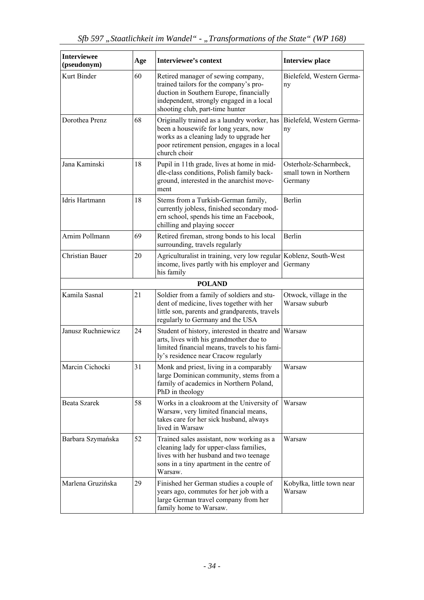| <b>Interviewee</b><br>(pseudonym) | Age | <b>Interviewee's context</b>                                                                                                                                                                           | <b>Interview place</b>                                     |
|-----------------------------------|-----|--------------------------------------------------------------------------------------------------------------------------------------------------------------------------------------------------------|------------------------------------------------------------|
| Kurt Binder                       | 60  | Retired manager of sewing company,<br>trained tailors for the company's pro-<br>duction in Southern Europe, financially<br>independent, strongly engaged in a local<br>shooting club, part-time hunter | Bielefeld, Western Germa-<br>ny                            |
| Dorothea Prenz                    | 68  | Originally trained as a laundry worker, has<br>been a housewife for long years, now<br>works as a cleaning lady to upgrade her<br>poor retirement pension, engages in a local<br>church choir          | Bielefeld, Western Germa-<br>ny                            |
| Jana Kaminski                     | 18  | Pupil in 11th grade, lives at home in mid-<br>dle-class conditions, Polish family back-<br>ground, interested in the anarchist move-<br>ment                                                           | Osterholz-Scharmbeck,<br>small town in Northern<br>Germany |
| Idris Hartmann                    | 18  | Stems from a Turkish-German family,<br>currently jobless, finished secondary mod-<br>ern school, spends his time an Facebook,<br>chilling and playing soccer                                           | Berlin                                                     |
| Arnim Pollmann                    | 69  | Retired fireman, strong bonds to his local<br>surrounding, travels regularly                                                                                                                           | Berlin                                                     |
| <b>Christian Bauer</b>            | 20  | Agriculturalist in training, very low regular Koblenz, South-West<br>income, lives partly with his employer and<br>his family                                                                          | Germany                                                    |
|                                   |     | <b>POLAND</b>                                                                                                                                                                                          |                                                            |
| Kamila Sasnal                     | 21  | Soldier from a family of soldiers and stu-<br>dent of medicine, lives together with her<br>little son, parents and grandparents, travels<br>regularly to Germany and the USA                           | Otwock, village in the<br>Warsaw suburb                    |
| Janusz Ruchniewicz                | 24  | Student of history, interested in theatre and Warsaw<br>arts, lives with his grandmother due to<br>limited financial means, travels to his fami-<br>ly's residence near Cracow regularly               |                                                            |
| Marcin Cichocki                   | 31  | Monk and priest, living in a comparably<br>large Dominican community, stems from a<br>family of academics in Northern Poland,<br>PhD in theology                                                       | Warsaw                                                     |
| Beata Szarek                      | 58  | Works in a cloakroom at the University of<br>Warsaw, very limited financial means,<br>takes care for her sick husband, always<br>lived in Warsaw                                                       | Warsaw                                                     |
| Barbara Szymańska                 | 52  | Trained sales assistant, now working as a<br>cleaning lady for upper-class families,<br>lives with her husband and two teenage<br>sons in a tiny apartment in the centre of<br>Warsaw.                 | Warsaw                                                     |
| Marlena Gruzińska                 | 29  | Finished her German studies a couple of<br>years ago, commutes for her job with a<br>large German travel company from her<br>family home to Warsaw.                                                    | Kobyłka, little town near<br>Warsaw                        |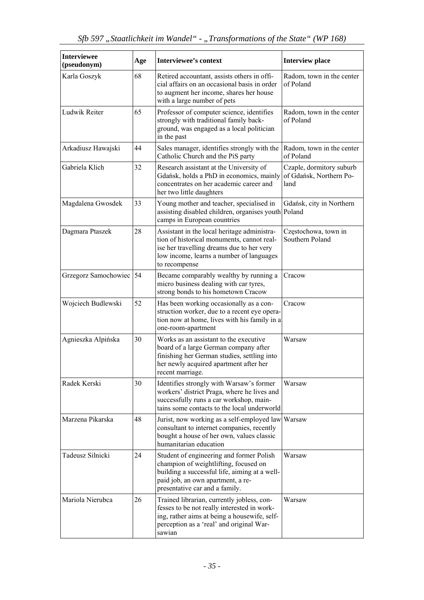| <b>Interviewee</b><br>(pseudonym) | Age | <b>Interviewee's context</b>                                                                                                                                                                              | <b>Interview place</b>                                      |
|-----------------------------------|-----|-----------------------------------------------------------------------------------------------------------------------------------------------------------------------------------------------------------|-------------------------------------------------------------|
| Karla Goszyk                      | 68  | Retired accountant, assists others in offi-<br>cial affairs on an occasional basis in order<br>to augment her income, shares her house<br>with a large number of pets                                     | Radom, town in the center<br>of Poland                      |
| Ludwik Reiter                     | 65  | Professor of computer science, identifies<br>strongly with traditional family back-<br>ground, was engaged as a local politician<br>in the past                                                           | Radom, town in the center<br>of Poland                      |
| Arkadiusz Hawajski                | 44  | Sales manager, identifies strongly with the<br>Catholic Church and the PiS party                                                                                                                          | Radom, town in the center<br>of Poland                      |
| Gabriela Klich                    | 32  | Research assistant at the University of<br>Gdańsk, holds a PhD in economics, mainly<br>concentrates on her academic career and<br>her two little daughters                                                | Czaple, dormitory suburb<br>of Gdańsk, Northern Po-<br>land |
| Magdalena Gwosdek                 | 33  | Young mother and teacher, specialised in<br>assisting disabled children, organises youth Poland<br>camps in European countries                                                                            | Gdańsk, city in Northern                                    |
| Dagmara Ptaszek                   | 28  | Assistant in the local heritage administra-<br>tion of historical monuments, cannot real-<br>ise her travelling dreams due to her very<br>low income, learns a number of languages<br>to recompense       | Częstochowa, town in<br>Southern Poland                     |
| Grzegorz Samochowiec 54           |     | Became comparably wealthy by running a<br>micro business dealing with car tyres,<br>strong bonds to his hometown Cracow                                                                                   | Cracow                                                      |
| Wojciech Budlewski                | 52  | Has been working occasionally as a con-<br>struction worker, due to a recent eye opera-<br>tion now at home, lives with his family in a<br>one-room-apartment                                             | Cracow                                                      |
| Agnieszka Alpińska                | 30  | Works as an assistant to the executive<br>board of a large German company after<br>finishing her German studies, settling into<br>her newly acquired apartment after her<br>recent marriage.              | Warsaw                                                      |
| Radek Kerski                      | 30  | Identifies strongly with Warsaw's former<br>workers' district Praga, where he lives and<br>successfully runs a car workshop, main-<br>tains some contacts to the local underworld                         | Warsaw                                                      |
| Marzena Pikarska                  | 48  | Jurist, now working as a self-employed law Warsaw<br>consultant to internet companies, recently<br>bought a house of her own, values classic<br>humanitarian education                                    |                                                             |
| Tadeusz Silnicki                  | 24  | Student of engineering and former Polish<br>champion of weightlifting, focused on<br>building a successful life, aiming at a well-<br>paid job, an own apartment, a re-<br>presentative car and a family. | Warsaw                                                      |
| Mariola Nierubca                  | 26  | Trained librarian, currently jobless, con-<br>fesses to be not really interested in work-<br>ing, rather aims at being a housewife, self-<br>perception as a 'real' and original War-<br>sawian           | Warsaw                                                      |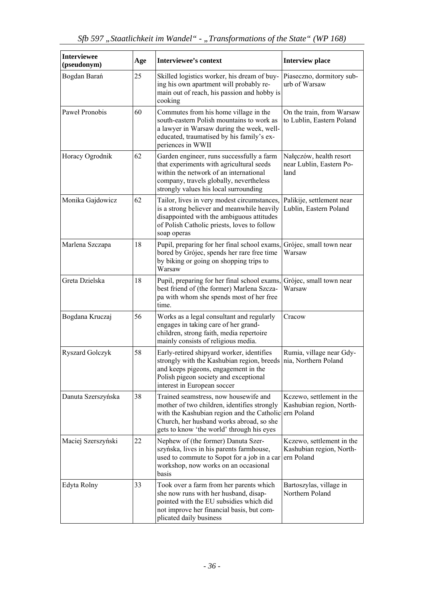| <b>Interviewee</b><br>(pseudonym) | Age | <b>Interviewee's context</b>                                                                                                                                                                                                | <b>Interview place</b>                                              |
|-----------------------------------|-----|-----------------------------------------------------------------------------------------------------------------------------------------------------------------------------------------------------------------------------|---------------------------------------------------------------------|
| Bogdan Barań                      | 25  | Skilled logistics worker, his dream of buy-<br>ing his own apartment will probably re-<br>main out of reach, his passion and hobby is<br>cooking                                                                            | Piaseczno, dormitory sub-<br>urb of Warsaw                          |
| Paweł Pronobis                    | 60  | Commutes from his home village in the<br>south-eastern Polish mountains to work as<br>a lawyer in Warsaw during the week, well-<br>educated, traumatised by his family's ex-<br>periences in WWII                           | On the train, from Warsaw<br>to Lublin, Eastern Poland              |
| Horacy Ogrodnik                   | 62  | Garden engineer, runs successfully a farm<br>that experiments with agricultural seeds<br>within the network of an international<br>company, travels globally, nevertheless<br>strongly values his local surrounding         | Nałęczów, health resort<br>near Lublin, Eastern Po-<br>land         |
| Monika Gajdowicz                  | 62  | Tailor, lives in very modest circumstances,<br>is a strong believer and meanwhile heavily<br>disappointed with the ambiguous attitudes<br>of Polish Catholic priests, loves to follow<br>soap operas                        | Palikije, settlement near<br>Lublin, Eastern Poland                 |
| Marlena Szczapa                   | 18  | Pupil, preparing for her final school exams, Grójec, small town near<br>bored by Grójec, spends her rare free time<br>by biking or going on shopping trips to<br>Warsaw                                                     | Warsaw                                                              |
| Greta Dzielska                    | 18  | Pupil, preparing for her final school exams,<br>best friend of (the former) Marlena Szcza-<br>pa with whom she spends most of her free<br>time.                                                                             | Grójec, small town near<br>Warsaw                                   |
| Bogdana Kruczaj                   | 56  | Works as a legal consultant and regularly<br>engages in taking care of her grand-<br>children, strong faith, media repertoire<br>mainly consists of religious media.                                                        | Cracow                                                              |
| <b>Ryszard Golczyk</b>            | 58  | Early-retired shipyard worker, identifies<br>strongly with the Kashubian region, breeds<br>and keeps pigeons, engagement in the<br>Polish pigeon society and exceptional<br>interest in European soccer                     | Rumia, village near Gdy-<br>nia, Northern Poland                    |
| Danuta Szerszyńska                | 38  | Trained seamstress, now housewife and<br>mother of two children, identifies strongly<br>with the Kashubian region and the Catholic<br>Church, her husband works abroad, so she<br>gets to know 'the world' through his eyes | Kczewo, settlement in the<br>Kashubian region, North-<br>ern Poland |
| Maciej Szerszyński                | 22  | Nephew of (the former) Danuta Szer-<br>szyńska, lives in his parents farmhouse,<br>used to commute to Sopot for a job in a car<br>workshop, now works on an occasional<br>basis                                             | Kczewo, settlement in the<br>Kashubian region, North-<br>ern Poland |
| Edyta Rolny                       | 33  | Took over a farm from her parents which<br>she now runs with her husband, disap-<br>pointed with the EU subsidies which did<br>not improve her financial basis, but com-<br>plicated daily business                         | Bartoszylas, village in<br>Northern Poland                          |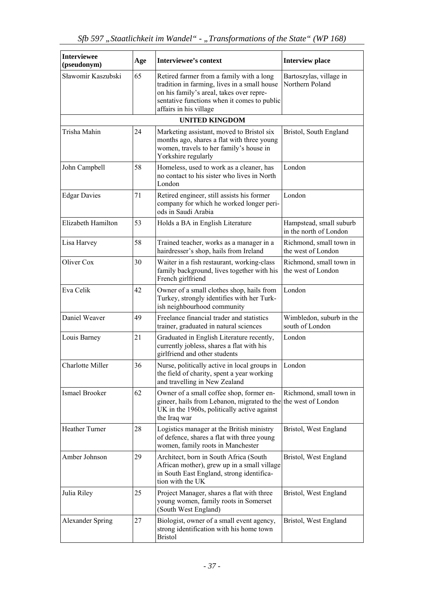| <b>Interviewee</b><br>(pseudonym) | Age | <b>Interviewee's context</b>                                                                                                                                                                                  | <b>Interview place</b>                            |
|-----------------------------------|-----|---------------------------------------------------------------------------------------------------------------------------------------------------------------------------------------------------------------|---------------------------------------------------|
| Sławomir Kaszubski                | 65  | Retired farmer from a family with a long<br>tradition in farming, lives in a small house<br>on his family's areal, takes over repre-<br>sentative functions when it comes to public<br>affairs in his village | Bartoszylas, village in<br>Northern Poland        |
|                                   |     | <b>UNITED KINGDOM</b>                                                                                                                                                                                         |                                                   |
| Trisha Mahin                      | 24  | Marketing assistant, moved to Bristol six<br>months ago, shares a flat with three young<br>women, travels to her family's house in<br>Yorkshire regularly                                                     | Bristol, South England                            |
| John Campbell                     | 58  | Homeless, used to work as a cleaner, has<br>no contact to his sister who lives in North<br>London                                                                                                             | London                                            |
| <b>Edgar Davies</b>               | 71  | Retired engineer, still assists his former<br>company for which he worked longer peri-<br>ods in Saudi Arabia                                                                                                 | London                                            |
| Elizabeth Hamilton                | 53  | Holds a BA in English Literature                                                                                                                                                                              | Hampstead, small suburb<br>in the north of London |
| Lisa Harvey                       | 58  | Trained teacher, works as a manager in a<br>hairdresser's shop, hails from Ireland                                                                                                                            | Richmond, small town in<br>the west of London     |
| Oliver Cox                        | 30  | Waiter in a fish restaurant, working-class<br>family background, lives together with his<br>French girlfriend                                                                                                 | Richmond, small town in<br>the west of London     |
| Eva Celik                         | 42  | Owner of a small clothes shop, hails from<br>Turkey, strongly identifies with her Turk-<br>ish neighbourhood community                                                                                        | London                                            |
| Daniel Weaver                     | 49  | Freelance financial trader and statistics<br>trainer, graduated in natural sciences                                                                                                                           | Wimbledon, suburb in the<br>south of London       |
| Louis Barney                      | 21  | Graduated in English Literature recently,<br>currently jobless, shares a flat with his<br>girlfriend and other students                                                                                       | London                                            |
| Charlotte Miller                  | 36  | Nurse, politically active in local groups in<br>the field of charity, spent a year working<br>and travelling in New Zealand                                                                                   | London                                            |
| Ismael Brooker                    | 62  | Owner of a small coffee shop, former en-<br>gineer, hails from Lebanon, migrated to the the west of London<br>UK in the 1960s, politically active against<br>the Iraq war                                     | Richmond, small town in                           |
| Heather Turner                    | 28  | Logistics manager at the British ministry<br>of defence, shares a flat with three young<br>women, family roots in Manchester                                                                                  | Bristol, West England                             |
| Amber Johnson                     | 29  | Architect, born in South Africa (South<br>African mother), grew up in a small village<br>in South East England, strong identifica-<br>tion with the UK                                                        | Bristol, West England                             |
| Julia Riley                       | 25  | Project Manager, shares a flat with three<br>young women, family roots in Somerset<br>(South West England)                                                                                                    | Bristol, West England                             |
| <b>Alexander Spring</b>           | 27  | Biologist, owner of a small event agency,<br>strong identification with his home town<br><b>Bristol</b>                                                                                                       | Bristol, West England                             |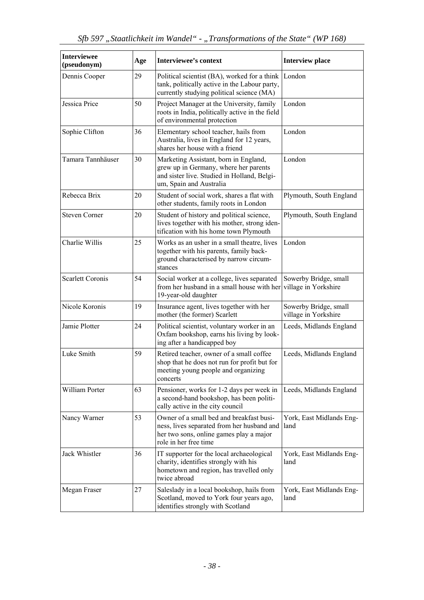| <b>Interviewee</b><br>(pseudonym) | Age | <b>Interviewee's context</b>                                                                                                                               | <b>Interview place</b>                        |
|-----------------------------------|-----|------------------------------------------------------------------------------------------------------------------------------------------------------------|-----------------------------------------------|
| Dennis Cooper                     | 29  | Political scientist (BA), worked for a think<br>tank, politically active in the Labour party,<br>currently studying political science (MA)                 | London                                        |
| Jessica Price                     | 50  | Project Manager at the University, family<br>roots in India, politically active in the field<br>of environmental protection                                | London                                        |
| Sophie Clifton                    | 36  | Elementary school teacher, hails from<br>Australia, lives in England for 12 years,<br>shares her house with a friend                                       | London                                        |
| Tamara Tannhäuser                 | 30  | Marketing Assistant, born in England,<br>grew up in Germany, where her parents<br>and sister live. Studied in Holland, Belgi-<br>um, Spain and Australia   | London                                        |
| Rebecca Brix                      | 20  | Student of social work, shares a flat with<br>other students, family roots in London                                                                       | Plymouth, South England                       |
| <b>Steven Corner</b>              | 20  | Student of history and political science,<br>lives together with his mother, strong iden-<br>tification with his home town Plymouth                        | Plymouth, South England                       |
| Charlie Willis                    | 25  | Works as an usher in a small theatre, lives<br>together with his parents, family back-<br>ground characterised by narrow circum-<br>stances                | London                                        |
| <b>Scarlett Coronis</b>           | 54  | Social worker at a college, lives separated<br>from her husband in a small house with her village in Yorkshire<br>19-year-old daughter                     | Sowerby Bridge, small                         |
| Nicole Koronis                    | 19  | Insurance agent, lives together with her<br>mother (the former) Scarlett                                                                                   | Sowerby Bridge, small<br>village in Yorkshire |
| Jamie Plotter                     | 24  | Political scientist, voluntary worker in an<br>Oxfam bookshop, earns his living by look-<br>ing after a handicapped boy                                    | Leeds, Midlands England                       |
| Luke Smith                        | 59  | Retired teacher, owner of a small coffee<br>shop that he does not run for profit but for<br>meeting young people and organizing<br>concerts                | Leeds, Midlands England                       |
| William Porter                    | 63  | Pensioner, works for 1-2 days per week in<br>a second-hand bookshop, has been politi-<br>cally active in the city council                                  | Leeds, Midlands England                       |
| Nancy Warner                      | 53  | Owner of a small bed and breakfast busi-<br>ness, lives separated from her husband and<br>her two sons, online games play a major<br>role in her free time | York, East Midlands Eng-<br>land              |
| Jack Whistler                     | 36  | IT supporter for the local archaeological<br>charity, identifies strongly with his<br>hometown and region, has travelled only<br>twice abroad              | York, East Midlands Eng-<br>land              |
| Megan Fraser                      | 27  | Saleslady in a local bookshop, hails from<br>Scotland, moved to York four years ago,<br>identifies strongly with Scotland                                  | York, East Midlands Eng-<br>land              |